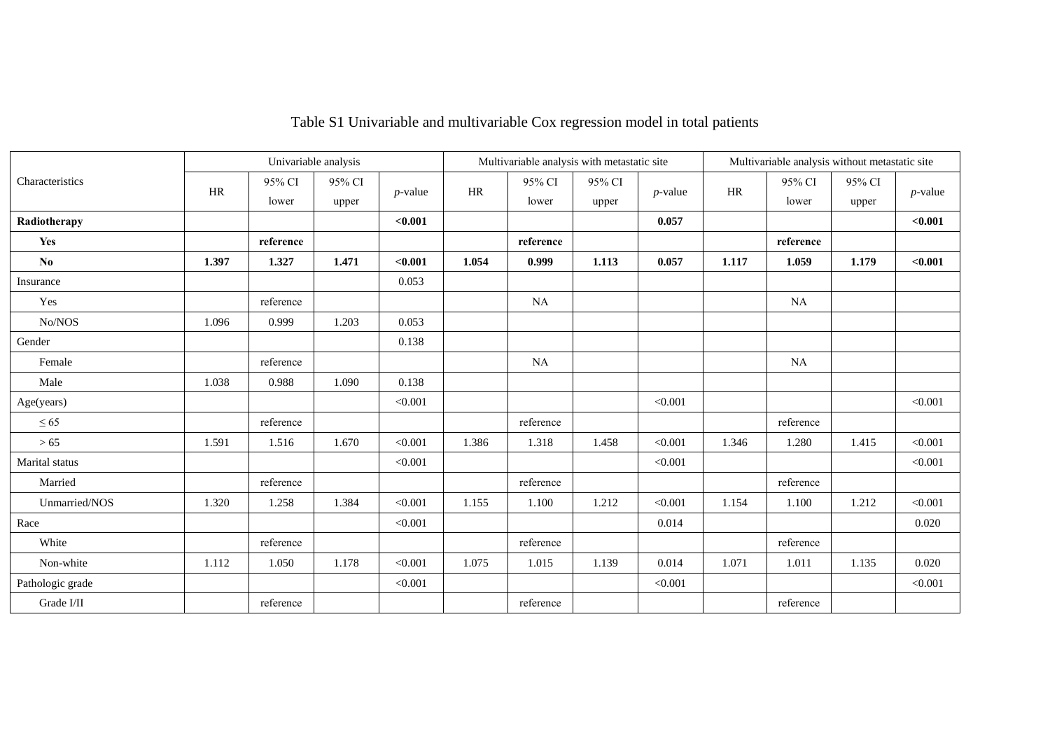|                        |       | Univariable analysis |        |            | Multivariable analysis with metastatic site |           |        |            | Multivariable analysis without metastatic site |           |        |            |
|------------------------|-------|----------------------|--------|------------|---------------------------------------------|-----------|--------|------------|------------------------------------------------|-----------|--------|------------|
| Characteristics        | HR    | 95% CI               | 95% CI |            | HR                                          | 95% CI    | 95% CI |            | <b>HR</b>                                      | 95% CI    | 95% CI |            |
|                        |       | lower                | upper  | $p$ -value |                                             | lower     | upper  | $p$ -value |                                                | lower     | upper  | $p$ -value |
| Radiotherapy           |       |                      |        | $0.001$    |                                             |           |        | 0.057      |                                                |           |        | < 0.001    |
| Yes                    |       | reference            |        |            |                                             | reference |        |            |                                                | reference |        |            |
| $\mathbf{N}\mathbf{o}$ | 1.397 | 1.327                | 1.471  | < 0.001    | 1.054                                       | 0.999     | 1.113  | 0.057      | 1.117                                          | 1.059     | 1.179  | < 0.001    |
| Insurance              |       |                      |        | 0.053      |                                             |           |        |            |                                                |           |        |            |
| Yes                    |       | reference            |        |            |                                             | <b>NA</b> |        |            |                                                | <b>NA</b> |        |            |
| No/NOS                 | 1.096 | 0.999                | 1.203  | 0.053      |                                             |           |        |            |                                                |           |        |            |
| Gender                 |       |                      |        | 0.138      |                                             |           |        |            |                                                |           |        |            |
| Female                 |       | reference            |        |            |                                             | NA        |        |            |                                                | <b>NA</b> |        |            |
| Male                   | 1.038 | 0.988                | 1.090  | 0.138      |                                             |           |        |            |                                                |           |        |            |
| Age(years)             |       |                      |        | < 0.001    |                                             |           |        | < 0.001    |                                                |           |        | < 0.001    |
| $\leq 65$              |       | reference            |        |            |                                             | reference |        |            |                                                | reference |        |            |
| $>65$                  | 1.591 | 1.516                | 1.670  | < 0.001    | 1.386                                       | 1.318     | 1.458  | < 0.001    | 1.346                                          | 1.280     | 1.415  | < 0.001    |
| Marital status         |       |                      |        | < 0.001    |                                             |           |        | < 0.001    |                                                |           |        | < 0.001    |
| Married                |       | reference            |        |            |                                             | reference |        |            |                                                | reference |        |            |
| Unmarried/NOS          | 1.320 | 1.258                | 1.384  | < 0.001    | 1.155                                       | 1.100     | 1.212  | < 0.001    | 1.154                                          | 1.100     | 1.212  | < 0.001    |
| Race                   |       |                      |        | < 0.001    |                                             |           |        | 0.014      |                                                |           |        | 0.020      |
| White                  |       | reference            |        |            |                                             | reference |        |            |                                                | reference |        |            |
| Non-white              | 1.112 | 1.050                | 1.178  | < 0.001    | 1.075                                       | 1.015     | 1.139  | 0.014      | 1.071                                          | 1.011     | 1.135  | 0.020      |
| Pathologic grade       |       |                      |        | < 0.001    |                                             |           |        | < 0.001    |                                                |           |        | < 0.001    |
| Grade I/II             |       | reference            |        |            |                                             | reference |        |            |                                                | reference |        |            |

# Table S1 Univariable and multivariable Cox regression model in total patients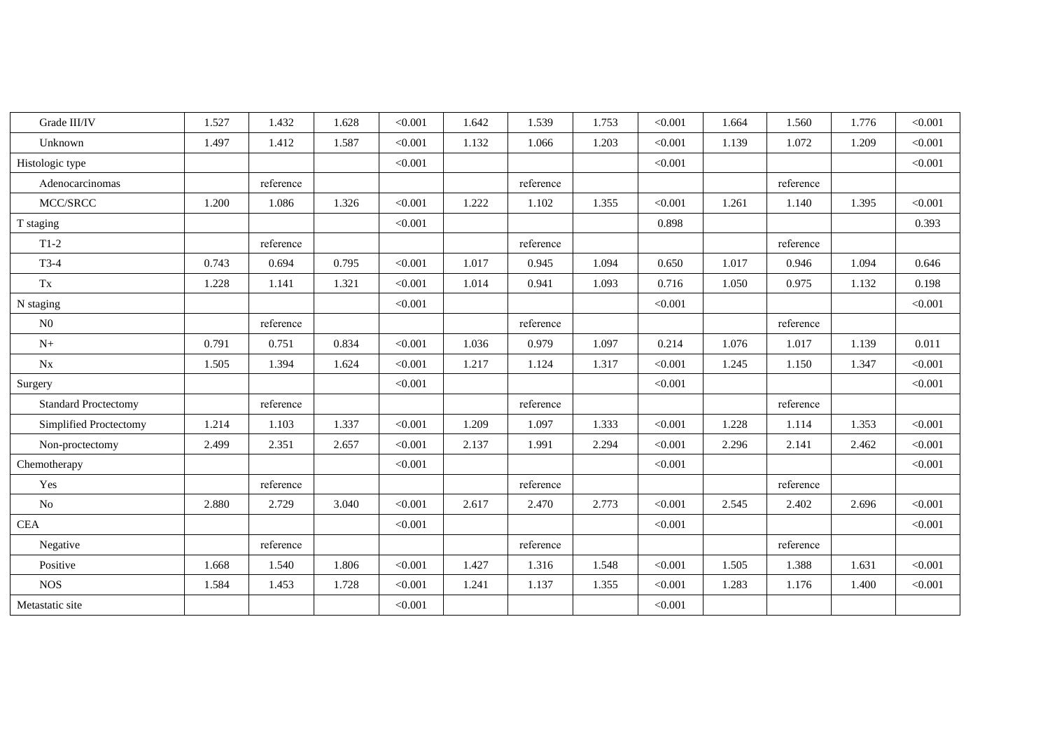| Grade III/IV                | 1.527 | 1.432     | 1.628 | < 0.001 | 1.642 | 1.539     | 1.753 | < 0.001 | 1.664 | 1.560     | 1.776 | < 0.001 |
|-----------------------------|-------|-----------|-------|---------|-------|-----------|-------|---------|-------|-----------|-------|---------|
| Unknown                     | 1.497 | 1.412     | 1.587 | < 0.001 | 1.132 | 1.066     | 1.203 | < 0.001 | 1.139 | 1.072     | 1.209 | < 0.001 |
| Histologic type             |       |           |       | < 0.001 |       |           |       | < 0.001 |       |           |       | < 0.001 |
| Adenocarcinomas             |       | reference |       |         |       | reference |       |         |       | reference |       |         |
| MCC/SRCC                    | 1.200 | 1.086     | 1.326 | < 0.001 | 1.222 | 1.102     | 1.355 | < 0.001 | 1.261 | 1.140     | 1.395 | < 0.001 |
| T staging                   |       |           |       | < 0.001 |       |           |       | 0.898   |       |           |       | 0.393   |
| $T1-2$                      |       | reference |       |         |       | reference |       |         |       | reference |       |         |
| $T3-4$                      | 0.743 | 0.694     | 0.795 | < 0.001 | 1.017 | 0.945     | 1.094 | 0.650   | 1.017 | 0.946     | 1.094 | 0.646   |
| Tx                          | 1.228 | 1.141     | 1.321 | < 0.001 | 1.014 | 0.941     | 1.093 | 0.716   | 1.050 | 0.975     | 1.132 | 0.198   |
| N staging                   |       |           |       | < 0.001 |       |           |       | < 0.001 |       |           |       | < 0.001 |
| N <sub>0</sub>              |       | reference |       |         |       | reference |       |         |       | reference |       |         |
| $N+$                        | 0.791 | 0.751     | 0.834 | < 0.001 | 1.036 | 0.979     | 1.097 | 0.214   | 1.076 | 1.017     | 1.139 | 0.011   |
| Nx                          | 1.505 | 1.394     | 1.624 | < 0.001 | 1.217 | 1.124     | 1.317 | < 0.001 | 1.245 | 1.150     | 1.347 | < 0.001 |
| Surgery                     |       |           |       | < 0.001 |       |           |       | < 0.001 |       |           |       | < 0.001 |
| <b>Standard Proctectomy</b> |       | reference |       |         |       | reference |       |         |       | reference |       |         |
| Simplified Proctectomy      | 1.214 | 1.103     | 1.337 | < 0.001 | 1.209 | 1.097     | 1.333 | < 0.001 | 1.228 | 1.114     | 1.353 | < 0.001 |
| Non-proctectomy             | 2.499 | 2.351     | 2.657 | < 0.001 | 2.137 | 1.991     | 2.294 | < 0.001 | 2.296 | 2.141     | 2.462 | < 0.001 |
| Chemotherapy                |       |           |       | < 0.001 |       |           |       | < 0.001 |       |           |       | < 0.001 |
| Yes                         |       | reference |       |         |       | reference |       |         |       | reference |       |         |
| No                          | 2.880 | 2.729     | 3.040 | < 0.001 | 2.617 | 2.470     | 2.773 | < 0.001 | 2.545 | 2.402     | 2.696 | < 0.001 |
| CEA                         |       |           |       | < 0.001 |       |           |       | < 0.001 |       |           |       | < 0.001 |
| Negative                    |       | reference |       |         |       | reference |       |         |       | reference |       |         |
| Positive                    | 1.668 | 1.540     | 1.806 | < 0.001 | 1.427 | 1.316     | 1.548 | < 0.001 | 1.505 | 1.388     | 1.631 | < 0.001 |
| <b>NOS</b>                  | 1.584 | 1.453     | 1.728 | < 0.001 | 1.241 | 1.137     | 1.355 | < 0.001 | 1.283 | 1.176     | 1.400 | < 0.001 |
| Metastatic site             |       |           |       | < 0.001 |       |           |       | < 0.001 |       |           |       |         |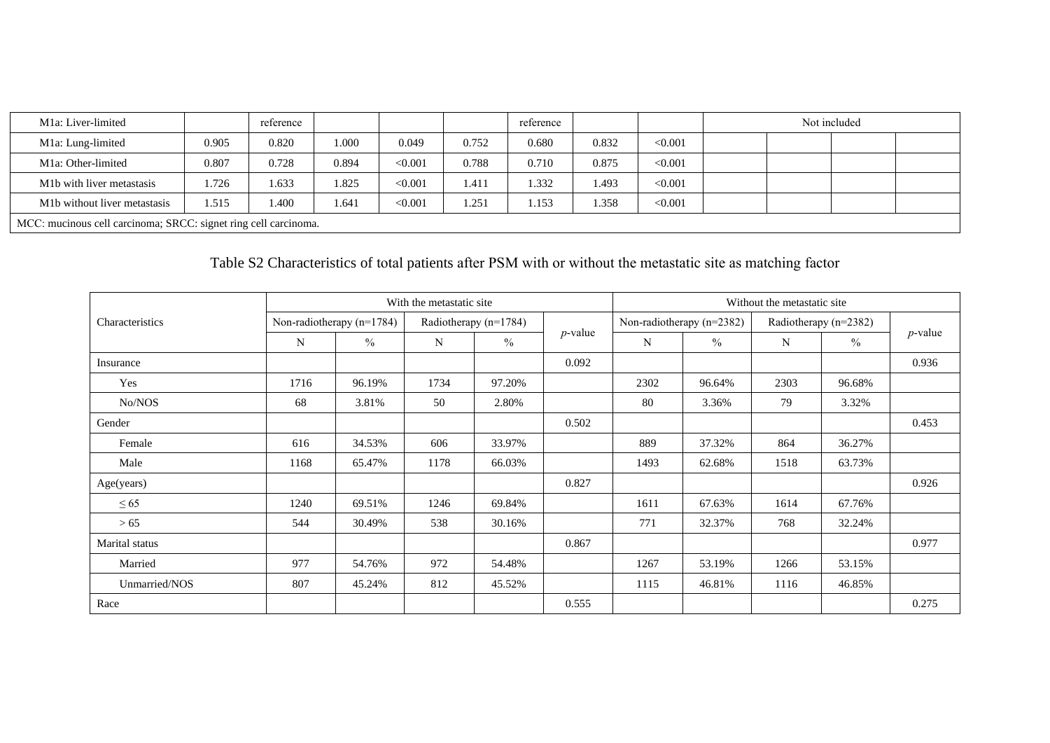| M <sub>1</sub> a: Liver-limited                                 |       | reference |       |         |       | reference |       |         |  | Not included |  |
|-----------------------------------------------------------------|-------|-----------|-------|---------|-------|-----------|-------|---------|--|--------------|--|
| M1a: Lung-limited                                               | 0.905 | 0.820     | 1.000 | 0.049   | 0.752 | 0.680     | 0.832 | < 0.001 |  |              |  |
| M <sub>1</sub> a: Other-limited                                 | 0.807 | 0.728     | 0.894 | < 0.001 | 0.788 | 0.710     | 0.875 | < 0.001 |  |              |  |
| M <sub>1</sub> b with liver metastasis                          | 1.726 | 1.633     | 1.825 | < 0.001 | 1.411 | 1.332     | 1.493 | < 0.001 |  |              |  |
| M <sub>1</sub> b without liver metastasis                       | 1.515 | 1.400     | 1.641 | < 0.001 | 1.251 | 1.153     | 1.358 | < 0.001 |  |              |  |
| MCC: mucinous cell carcinoma; SRCC: signet ring cell carcinoma. |       |           |       |         |       |           |       |         |  |              |  |

# Table S2 Characteristics of total patients after PSM with or without the metastatic site as matching factor

|                 |      |                           | With the metastatic site |                       |            | Without the metastatic site |                           |      |                       |            |  |
|-----------------|------|---------------------------|--------------------------|-----------------------|------------|-----------------------------|---------------------------|------|-----------------------|------------|--|
| Characteristics |      | Non-radiotherapy (n=1784) |                          | Radiotherapy (n=1784) |            |                             | Non-radiotherapy (n=2382) |      | Radiotherapy (n=2382) |            |  |
|                 | N    | $\%$                      | N                        | $\%$                  | $p$ -value | N                           | $\%$                      | N    | $\frac{0}{0}$         | $p$ -value |  |
| Insurance       |      |                           |                          |                       | 0.092      |                             |                           |      |                       | 0.936      |  |
| Yes             | 1716 | 96.19%                    | 1734                     | 97.20%                |            | 2302                        | 96.64%                    | 2303 | 96.68%                |            |  |
| No/NOS          | 68   | 3.81%                     | 50                       | 2.80%                 |            | 80                          | 3.36%                     | 79   | 3.32%                 |            |  |
| Gender          |      |                           |                          |                       | 0.502      |                             |                           |      |                       | 0.453      |  |
| Female          | 616  | 34.53%                    | 606                      | 33.97%                |            | 889                         | 37.32%                    | 864  | 36.27%                |            |  |
| Male            | 1168 | 65.47%                    | 1178                     | 66.03%                |            | 1493                        | 62.68%                    | 1518 | 63.73%                |            |  |
| Age(years)      |      |                           |                          |                       | 0.827      |                             |                           |      |                       | 0.926      |  |
| $\leq 65$       | 1240 | 69.51%                    | 1246                     | 69.84%                |            | 1611                        | 67.63%                    | 1614 | 67.76%                |            |  |
| >65             | 544  | 30.49%                    | 538                      | 30.16%                |            | 771                         | 32.37%                    | 768  | 32.24%                |            |  |
| Marital status  |      |                           |                          |                       | 0.867      |                             |                           |      |                       | 0.977      |  |
| Married         | 977  | 54.76%                    | 972                      | 54.48%                |            | 1267                        | 53.19%                    | 1266 | 53.15%                |            |  |
| Unmarried/NOS   | 807  | 45.24%                    | 812                      | 45.52%                |            | 1115                        | 46.81%                    | 1116 | 46.85%                |            |  |
| Race            |      |                           |                          |                       | 0.555      |                             |                           |      |                       | 0.275      |  |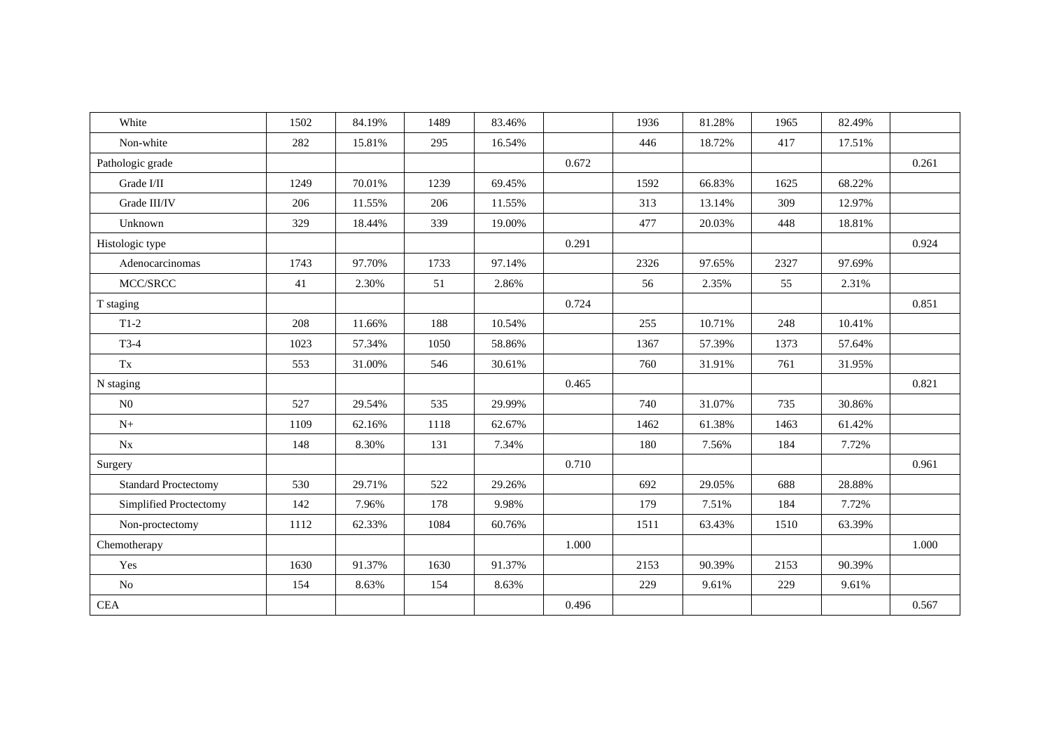| White                       | 1502 | 84.19% | 1489 | 83.46% |       | 1936 | 81.28% | 1965 | 82.49% |       |
|-----------------------------|------|--------|------|--------|-------|------|--------|------|--------|-------|
| Non-white                   | 282  | 15.81% | 295  | 16.54% |       | 446  | 18.72% | 417  | 17.51% |       |
| Pathologic grade            |      |        |      |        | 0.672 |      |        |      |        | 0.261 |
| Grade I/II                  | 1249 | 70.01% | 1239 | 69.45% |       | 1592 | 66.83% | 1625 | 68.22% |       |
| Grade III/IV                | 206  | 11.55% | 206  | 11.55% |       | 313  | 13.14% | 309  | 12.97% |       |
| Unknown                     | 329  | 18.44% | 339  | 19.00% |       | 477  | 20.03% | 448  | 18.81% |       |
| Histologic type             |      |        |      |        | 0.291 |      |        |      |        | 0.924 |
| Adenocarcinomas             | 1743 | 97.70% | 1733 | 97.14% |       | 2326 | 97.65% | 2327 | 97.69% |       |
| MCC/SRCC                    | 41   | 2.30%  | 51   | 2.86%  |       | 56   | 2.35%  | 55   | 2.31%  |       |
| T staging                   |      |        |      |        | 0.724 |      |        |      |        | 0.851 |
| $T1-2$                      | 208  | 11.66% | 188  | 10.54% |       | 255  | 10.71% | 248  | 10.41% |       |
| $T3-4$                      | 1023 | 57.34% | 1050 | 58.86% |       | 1367 | 57.39% | 1373 | 57.64% |       |
| Tx                          | 553  | 31.00% | 546  | 30.61% |       | 760  | 31.91% | 761  | 31.95% |       |
| N staging                   |      |        |      |        | 0.465 |      |        |      |        | 0.821 |
| N <sub>0</sub>              | 527  | 29.54% | 535  | 29.99% |       | 740  | 31.07% | 735  | 30.86% |       |
| $N+$                        | 1109 | 62.16% | 1118 | 62.67% |       | 1462 | 61.38% | 1463 | 61.42% |       |
| Nx                          | 148  | 8.30%  | 131  | 7.34%  |       | 180  | 7.56%  | 184  | 7.72%  |       |
| Surgery                     |      |        |      |        | 0.710 |      |        |      |        | 0.961 |
| <b>Standard Proctectomy</b> | 530  | 29.71% | 522  | 29.26% |       | 692  | 29.05% | 688  | 28.88% |       |
| Simplified Proctectomy      | 142  | 7.96%  | 178  | 9.98%  |       | 179  | 7.51%  | 184  | 7.72%  |       |
| Non-proctectomy             | 1112 | 62.33% | 1084 | 60.76% |       | 1511 | 63.43% | 1510 | 63.39% |       |
| Chemotherapy                |      |        |      |        | 1.000 |      |        |      |        | 1.000 |
| Yes                         | 1630 | 91.37% | 1630 | 91.37% |       | 2153 | 90.39% | 2153 | 90.39% |       |
| $\rm No$                    | 154  | 8.63%  | 154  | 8.63%  |       | 229  | 9.61%  | 229  | 9.61%  |       |
| CEA                         |      |        |      |        | 0.496 |      |        |      |        | 0.567 |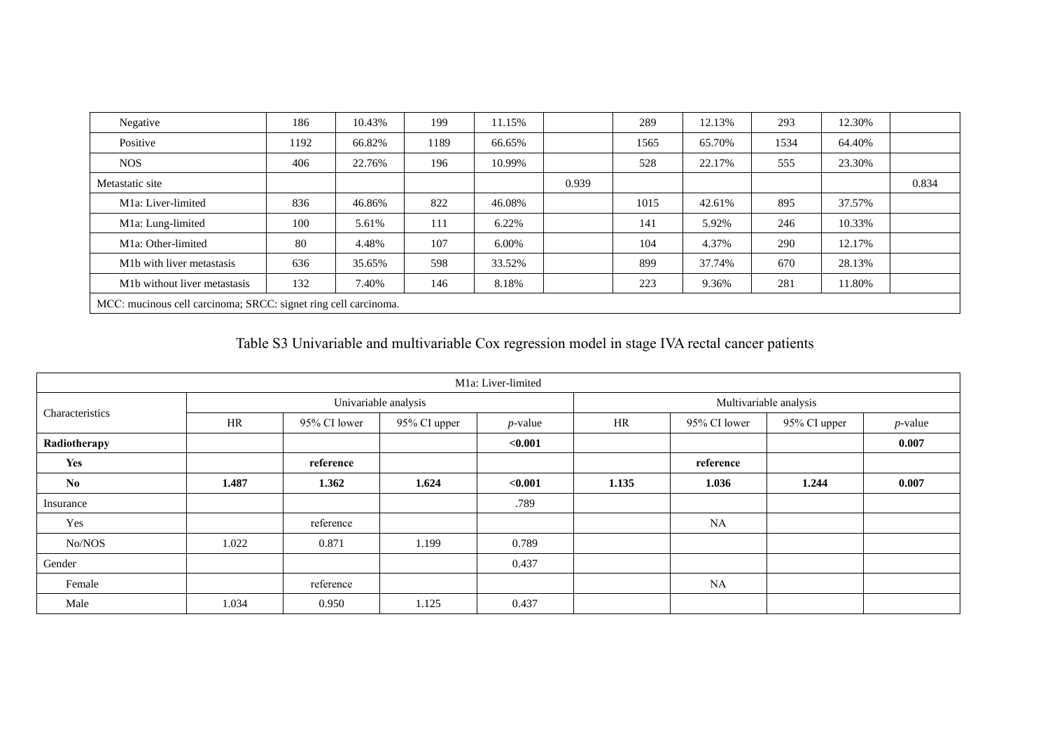| Negative                                                        | 186  | 10.43% | 199  | 11.15% |       | 289  | 12.13% | 293  | 12.30% |       |
|-----------------------------------------------------------------|------|--------|------|--------|-------|------|--------|------|--------|-------|
| Positive                                                        | 1192 | 66.82% | 1189 | 66.65% |       | 1565 | 65.70% | 1534 | 64.40% |       |
| NOS.                                                            | 406  | 22.76% | 196  | 10.99% |       | 528  | 22.17% | 555  | 23.30% |       |
| Metastatic site                                                 |      |        |      |        | 0.939 |      |        |      |        | 0.834 |
| M <sub>1</sub> a: Liver-limited                                 | 836  | 46.86% | 822  | 46.08% |       | 1015 | 42.61% | 895  | 37.57% |       |
| M1a: Lung-limited                                               | 100  | 5.61%  | 111  | 6.22%  |       | 141  | 5.92%  | 246  | 10.33% |       |
| M1a: Other-limited                                              | 80   | 4.48%  | 107  | 6.00%  |       | 104  | 4.37%  | 290  | 12.17% |       |
| M <sub>1</sub> b with liver metastasis                          | 636  | 35.65% | 598  | 33.52% |       | 899  | 37.74% | 670  | 28.13% |       |
| M <sub>1</sub> b without liver metastasis                       | 132  | 7.40%  | 146  | 8.18%  |       | 223  | 9.36%  | 281  | 11.80% |       |
| MCC: mucinous cell carcinoma; SRCC: signet ring cell carcinoma. |      |        |      |        |       |      |        |      |        |       |

### Table S3 Univariable and multivariable Cox regression model in stage IVA rectal cancer patients

|                 |       |              |                      | M <sub>1</sub> a: Liver-limited |       |              |                        |            |
|-----------------|-------|--------------|----------------------|---------------------------------|-------|--------------|------------------------|------------|
|                 |       |              | Univariable analysis |                                 |       |              | Multivariable analysis |            |
| Characteristics | HR    | 95% CI lower | 95% CI upper         | $p$ -value                      | HR    | 95% CI lower | 95% CI upper           | $p$ -value |
| Radiotherapy    |       |              |                      | < 0.001                         |       |              |                        | 0.007      |
| Yes             |       | reference    |                      |                                 |       | reference    |                        |            |
| No              | 1.487 | 1.362        | 1.624                | < 0.001                         | 1.135 | 1.036        | 1.244                  | 0.007      |
| Insurance       |       |              |                      | .789                            |       |              |                        |            |
| Yes             |       | reference    |                      |                                 |       | <b>NA</b>    |                        |            |
| No/NOS          | 1.022 | 0.871        | 1.199                | 0.789                           |       |              |                        |            |
| Gender          |       |              |                      | 0.437                           |       |              |                        |            |
| Female          |       | reference    |                      |                                 |       | <b>NA</b>    |                        |            |
| Male            | 1.034 | 0.950        | 1.125                | 0.437                           |       |              |                        |            |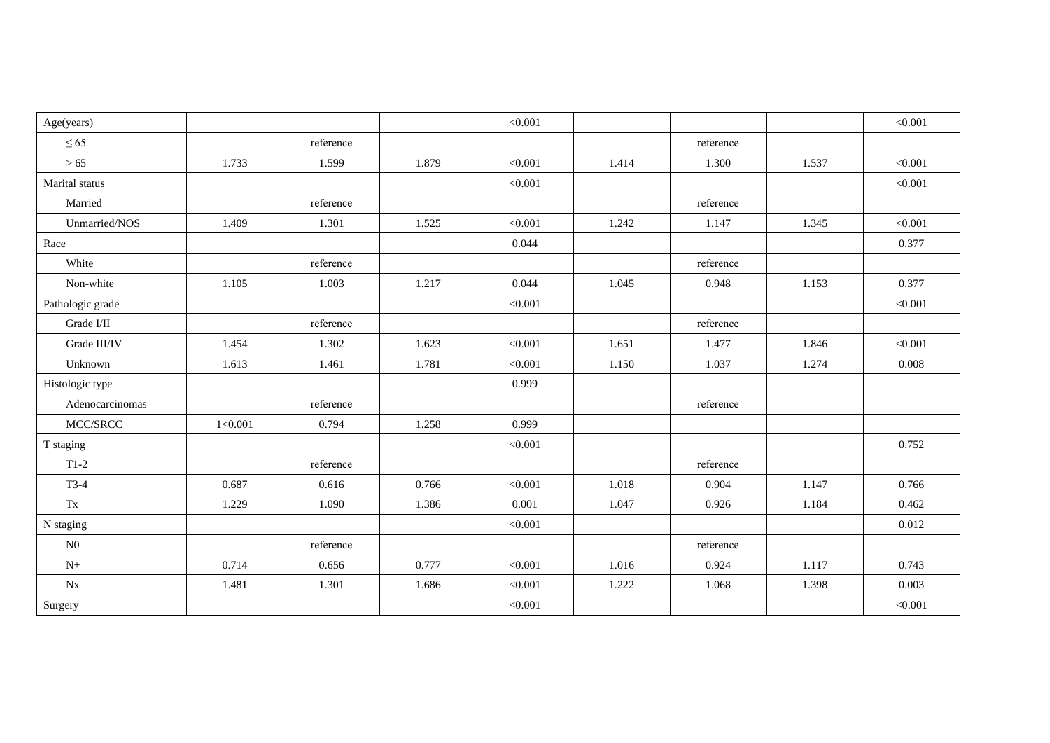| Age(years)             |         |           |       | < 0.001 |       |           |       | < 0.001 |
|------------------------|---------|-----------|-------|---------|-------|-----------|-------|---------|
| $\leq 65$              |         | reference |       |         |       | reference |       |         |
| >65                    | 1.733   | 1.599     | 1.879 | < 0.001 | 1.414 | 1.300     | 1.537 | < 0.001 |
| Marital status         |         |           |       | < 0.001 |       |           |       | < 0.001 |
| Married                |         | reference |       |         |       | reference |       |         |
| Unmarried/NOS          | 1.409   | 1.301     | 1.525 | < 0.001 | 1.242 | 1.147     | 1.345 | < 0.001 |
| Race                   |         |           |       | 0.044   |       |           |       | 0.377   |
| White                  |         | reference |       |         |       | reference |       |         |
| Non-white              | 1.105   | 1.003     | 1.217 | 0.044   | 1.045 | 0.948     | 1.153 | 0.377   |
| Pathologic grade       |         |           |       | < 0.001 |       |           |       | < 0.001 |
| Grade I/II             |         | reference |       |         |       | reference |       |         |
| Grade III/IV           | 1.454   | 1.302     | 1.623 | < 0.001 | 1.651 | 1.477     | 1.846 | < 0.001 |
| Unknown                | 1.613   | 1.461     | 1.781 | < 0.001 | 1.150 | 1.037     | 1.274 | 0.008   |
| Histologic type        |         |           |       | 0.999   |       |           |       |         |
| Adenocarcinomas        |         | reference |       |         |       | reference |       |         |
| MCC/SRCC               | 1<0.001 | 0.794     | 1.258 | 0.999   |       |           |       |         |
| T staging              |         |           |       | < 0.001 |       |           |       | 0.752   |
| $T1-2$                 |         | reference |       |         |       | reference |       |         |
| $T3-4$                 | 0.687   | 0.616     | 0.766 | < 0.001 | 1.018 | 0.904     | 1.147 | 0.766   |
| $\mathbf{T}\mathbf{x}$ | 1.229   | 1.090     | 1.386 | 0.001   | 1.047 | 0.926     | 1.184 | 0.462   |
| N staging              |         |           |       | < 0.001 |       |           |       | 0.012   |
| N0                     |         | reference |       |         |       | reference |       |         |
| $N+$                   | 0.714   | 0.656     | 0.777 | < 0.001 | 1.016 | 0.924     | 1.117 | 0.743   |
| Nx                     | 1.481   | 1.301     | 1.686 | < 0.001 | 1.222 | 1.068     | 1.398 | 0.003   |
| Surgery                |         |           |       | < 0.001 |       |           |       | < 0.001 |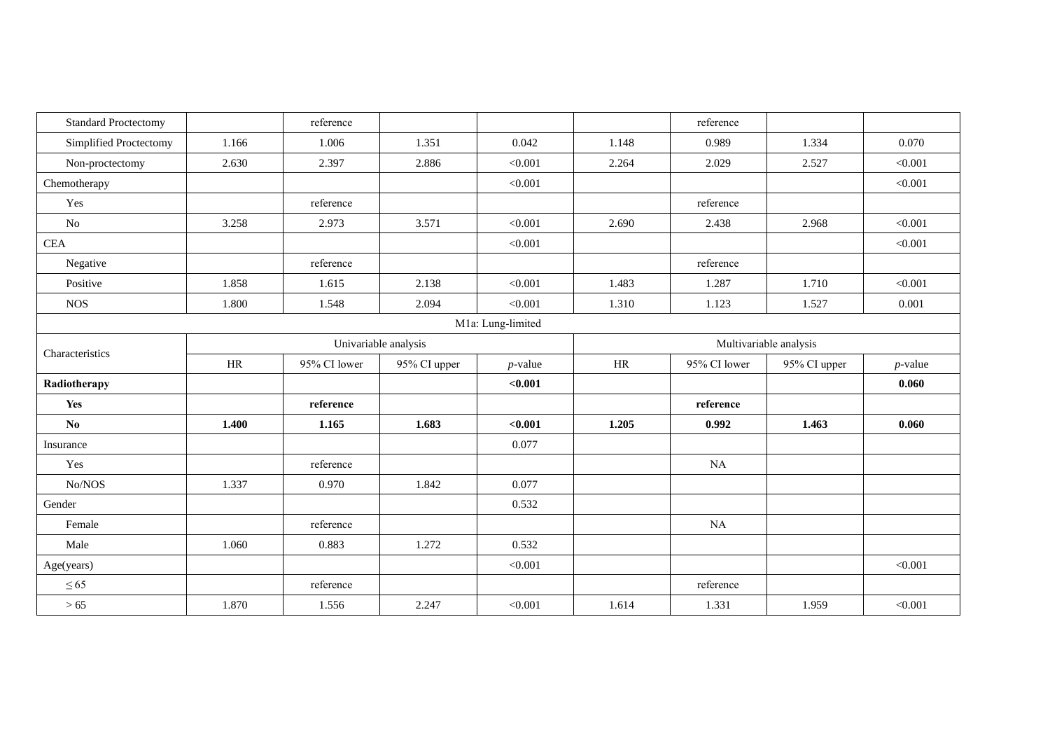| <b>Standard Proctectomy</b> |           | reference    |                      |                   |       | reference    |                        |            |
|-----------------------------|-----------|--------------|----------------------|-------------------|-------|--------------|------------------------|------------|
| Simplified Proctectomy      | 1.166     | 1.006        | 1.351                | 0.042             | 1.148 | 0.989        | 1.334                  | 0.070      |
| Non-proctectomy             | 2.630     | 2.397        | 2.886                | < 0.001           | 2.264 | 2.029        | 2.527                  | < 0.001    |
| Chemotherapy                |           |              |                      | < 0.001           |       |              |                        | < 0.001    |
| Yes                         |           | reference    |                      |                   |       | reference    |                        |            |
| No                          | 3.258     | 2.973        | 3.571                | < 0.001           | 2.690 | 2.438        | 2.968                  | < 0.001    |
| <b>CEA</b>                  |           |              |                      | < 0.001           |       |              |                        | < 0.001    |
| Negative                    |           | reference    |                      |                   |       | reference    |                        |            |
| Positive                    | 1.858     | 1.615        | 2.138                | < 0.001           | 1.483 | 1.287        | 1.710                  | < 0.001    |
| <b>NOS</b>                  | 1.800     | 1.548        | 2.094                | < 0.001           | 1.310 | 1.123        | 1.527                  | 0.001      |
|                             |           |              |                      | M1a: Lung-limited |       |              |                        |            |
| Characteristics             |           |              | Univariable analysis |                   |       |              | Multivariable analysis |            |
|                             | <b>HR</b> | 95% CI lower | 95% CI upper         | $p$ -value        | HR    | 95% CI lower | 95% CI upper           | $p$ -value |
| Radiotherapy                |           |              |                      | < 0.001           |       |              |                        | 0.060      |
| Yes                         |           | reference    |                      |                   |       | reference    |                        |            |
| $\mathbf{N}\mathbf{0}$      | 1.400     | 1.165        | 1.683                | < 0.001           | 1.205 | 0.992        | 1.463                  | 0.060      |
| Insurance                   |           |              |                      | 0.077             |       |              |                        |            |
| Yes                         |           | reference    |                      |                   |       | NA           |                        |            |
| No/NOS                      | 1.337     | 0.970        | 1.842                | 0.077             |       |              |                        |            |
| Gender                      |           |              |                      | 0.532             |       |              |                        |            |
| Female                      |           | reference    |                      |                   |       | NA           |                        |            |
| Male                        | 1.060     | 0.883        | 1.272                | 0.532             |       |              |                        |            |
| Age(years)                  |           |              |                      | < 0.001           |       |              |                        | < 0.001    |
| $\leq 65$                   |           | reference    |                      |                   |       | reference    |                        |            |
| $>65$                       | 1.870     | 1.556        | 2.247                | < 0.001           | 1.614 | 1.331        | 1.959                  | < 0.001    |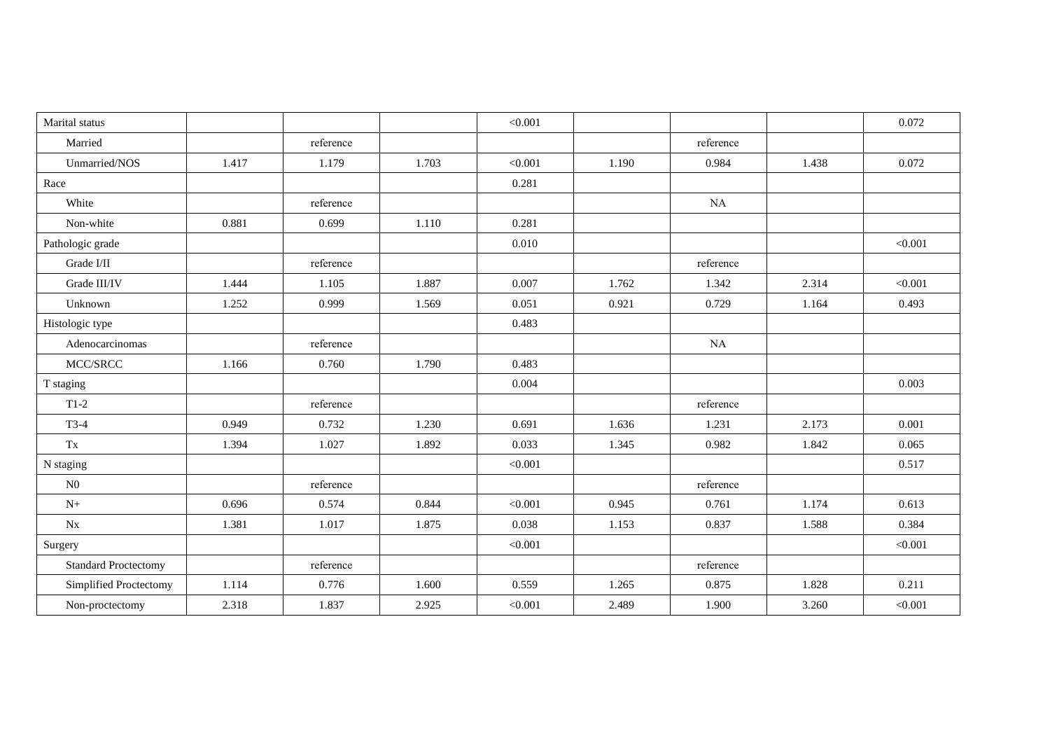| Marital status              |       |           |       | < 0.001 |       |           |       | 0.072   |
|-----------------------------|-------|-----------|-------|---------|-------|-----------|-------|---------|
| Married                     |       | reference |       |         |       | reference |       |         |
| Unmarried/NOS               | 1.417 | 1.179     | 1.703 | < 0.001 | 1.190 | 0.984     | 1.438 | 0.072   |
| Race                        |       |           |       | 0.281   |       |           |       |         |
| White                       |       | reference |       |         |       | NA        |       |         |
| Non-white                   | 0.881 | 0.699     | 1.110 | 0.281   |       |           |       |         |
| Pathologic grade            |       |           |       | 0.010   |       |           |       | < 0.001 |
| Grade I/II                  |       | reference |       |         |       | reference |       |         |
| Grade III/IV                | 1.444 | 1.105     | 1.887 | 0.007   | 1.762 | 1.342     | 2.314 | < 0.001 |
| Unknown                     | 1.252 | 0.999     | 1.569 | 0.051   | 0.921 | 0.729     | 1.164 | 0.493   |
| Histologic type             |       |           |       | 0.483   |       |           |       |         |
| Adenocarcinomas             |       | reference |       |         |       | NA        |       |         |
| MCC/SRCC                    | 1.166 | 0.760     | 1.790 | 0.483   |       |           |       |         |
| T staging                   |       |           |       | 0.004   |       |           |       | 0.003   |
| $T1-2$                      |       | reference |       |         |       | reference |       |         |
| $T3-4$                      | 0.949 | 0.732     | 1.230 | 0.691   | 1.636 | 1.231     | 2.173 | 0.001   |
| $\mathbf{T}\mathbf{x}$      | 1.394 | 1.027     | 1.892 | 0.033   | 1.345 | 0.982     | 1.842 | 0.065   |
| N staging                   |       |           |       | < 0.001 |       |           |       | 0.517   |
| ${\rm N0}$                  |       | reference |       |         |       | reference |       |         |
| $N+$                        | 0.696 | 0.574     | 0.844 | < 0.001 | 0.945 | 0.761     | 1.174 | 0.613   |
| $N_{X}$                     | 1.381 | 1.017     | 1.875 | 0.038   | 1.153 | 0.837     | 1.588 | 0.384   |
| Surgery                     |       |           |       | < 0.001 |       |           |       | < 0.001 |
| <b>Standard Proctectomy</b> |       | reference |       |         |       | reference |       |         |
| Simplified Proctectomy      | 1.114 | 0.776     | 1.600 | 0.559   | 1.265 | 0.875     | 1.828 | 0.211   |
| Non-proctectomy             | 2.318 | 1.837     | 2.925 | < 0.001 | 2.489 | 1.900     | 3.260 | < 0.001 |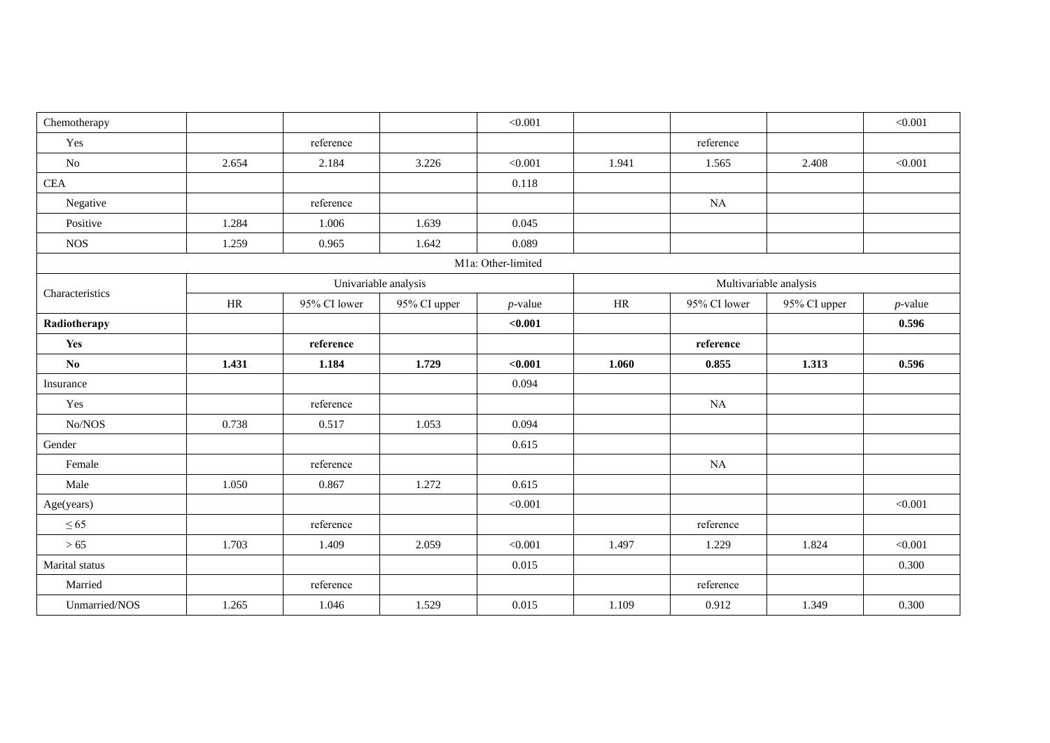| Chemotherapy    |           |              |                      | < 0.001            |       |              |                        | < 0.001    |
|-----------------|-----------|--------------|----------------------|--------------------|-------|--------------|------------------------|------------|
| Yes             |           | reference    |                      |                    |       | reference    |                        |            |
| No              | 2.654     | 2.184        | 3.226                | < 0.001            | 1.941 | 1.565        | 2.408                  | < 0.001    |
| <b>CEA</b>      |           |              |                      | 0.118              |       |              |                        |            |
| Negative        |           | reference    |                      |                    |       | NA           |                        |            |
| Positive        | 1.284     | 1.006        | 1.639                | 0.045              |       |              |                        |            |
| <b>NOS</b>      | 1.259     | 0.965        | 1.642                | 0.089              |       |              |                        |            |
|                 |           |              |                      | M1a: Other-limited |       |              |                        |            |
|                 |           |              | Univariable analysis |                    |       |              | Multivariable analysis |            |
| Characteristics | $\rm{HR}$ | 95% CI lower | 95% CI upper         | $p$ -value         | HR    | 95% CI lower | 95% CI upper           | $p$ -value |
| Radiotherapy    |           |              |                      | < 0.001            |       |              |                        | 0.596      |
| Yes             |           | reference    |                      |                    |       | reference    |                        |            |
| No              | 1.431     | 1.184        | 1.729                | < 0.001            | 1.060 | 0.855        | 1.313                  | 0.596      |
| Insurance       |           |              |                      | 0.094              |       |              |                        |            |
| Yes             |           | reference    |                      |                    |       | NA           |                        |            |
| No/NOS          | 0.738     | 0.517        | 1.053                | 0.094              |       |              |                        |            |
| Gender          |           |              |                      | 0.615              |       |              |                        |            |
| Female          |           | reference    |                      |                    |       | NA           |                        |            |
| Male            | 1.050     | 0.867        | 1.272                | 0.615              |       |              |                        |            |
| Age(years)      |           |              |                      | < 0.001            |       |              |                        | < 0.001    |
| $\leq 65$       |           | reference    |                      |                    |       | reference    |                        |            |
| >65             | 1.703     | 1.409        | 2.059                | < 0.001            | 1.497 | 1.229        | 1.824                  | < 0.001    |
| Marital status  |           |              |                      | 0.015              |       |              |                        | 0.300      |
| Married         |           | reference    |                      |                    |       | reference    |                        |            |
| Unmarried/NOS   | 1.265     | 1.046        | 1.529                | 0.015              | 1.109 | 0.912        | 1.349                  | 0.300      |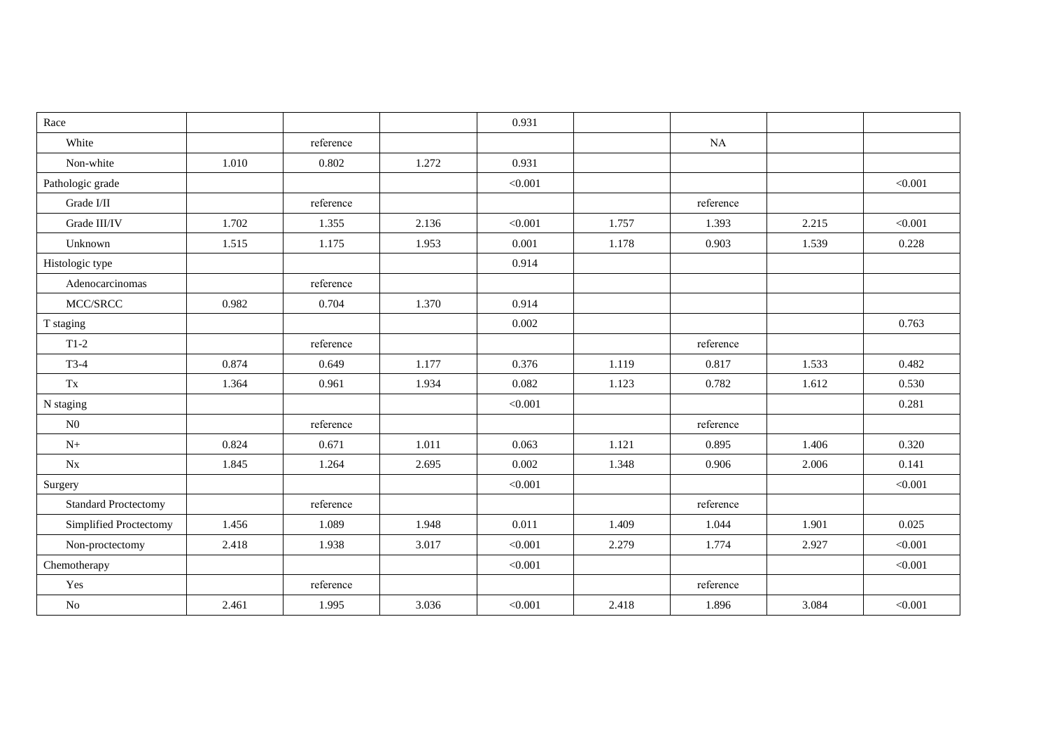| Race                        |       |           |       | 0.931   |       |           |       |         |
|-----------------------------|-------|-----------|-------|---------|-------|-----------|-------|---------|
| White                       |       | reference |       |         |       | NA        |       |         |
| Non-white                   | 1.010 | 0.802     | 1.272 | 0.931   |       |           |       |         |
| Pathologic grade            |       |           |       | < 0.001 |       |           |       | < 0.001 |
| Grade I/II                  |       | reference |       |         |       | reference |       |         |
| Grade III/IV                | 1.702 | 1.355     | 2.136 | < 0.001 | 1.757 | 1.393     | 2.215 | < 0.001 |
| Unknown                     | 1.515 | 1.175     | 1.953 | 0.001   | 1.178 | 0.903     | 1.539 | 0.228   |
| Histologic type             |       |           |       | 0.914   |       |           |       |         |
| Adenocarcinomas             |       | reference |       |         |       |           |       |         |
| MCC/SRCC                    | 0.982 | 0.704     | 1.370 | 0.914   |       |           |       |         |
| T staging                   |       |           |       | 0.002   |       |           |       | 0.763   |
| $T1-2$                      |       | reference |       |         |       | reference |       |         |
| $T3-4$                      | 0.874 | 0.649     | 1.177 | 0.376   | 1.119 | 0.817     | 1.533 | 0.482   |
| Tx                          | 1.364 | 0.961     | 1.934 | 0.082   | 1.123 | 0.782     | 1.612 | 0.530   |
| N staging                   |       |           |       | < 0.001 |       |           |       | 0.281   |
| N <sub>0</sub>              |       | reference |       |         |       | reference |       |         |
| $N+$                        | 0.824 | 0.671     | 1.011 | 0.063   | 1.121 | 0.895     | 1.406 | 0.320   |
| $N_{X}$                     | 1.845 | 1.264     | 2.695 | 0.002   | 1.348 | 0.906     | 2.006 | 0.141   |
| Surgery                     |       |           |       | < 0.001 |       |           |       | < 0.001 |
| <b>Standard Proctectomy</b> |       | reference |       |         |       | reference |       |         |
| Simplified Proctectomy      | 1.456 | 1.089     | 1.948 | 0.011   | 1.409 | 1.044     | 1.901 | 0.025   |
| Non-proctectomy             | 2.418 | 1.938     | 3.017 | < 0.001 | 2.279 | 1.774     | 2.927 | < 0.001 |
| Chemotherapy                |       |           |       | < 0.001 |       |           |       | < 0.001 |
| Yes                         |       | reference |       |         |       | reference |       |         |
| $\rm No$                    | 2.461 | 1.995     | 3.036 | < 0.001 | 2.418 | 1.896     | 3.084 | < 0.001 |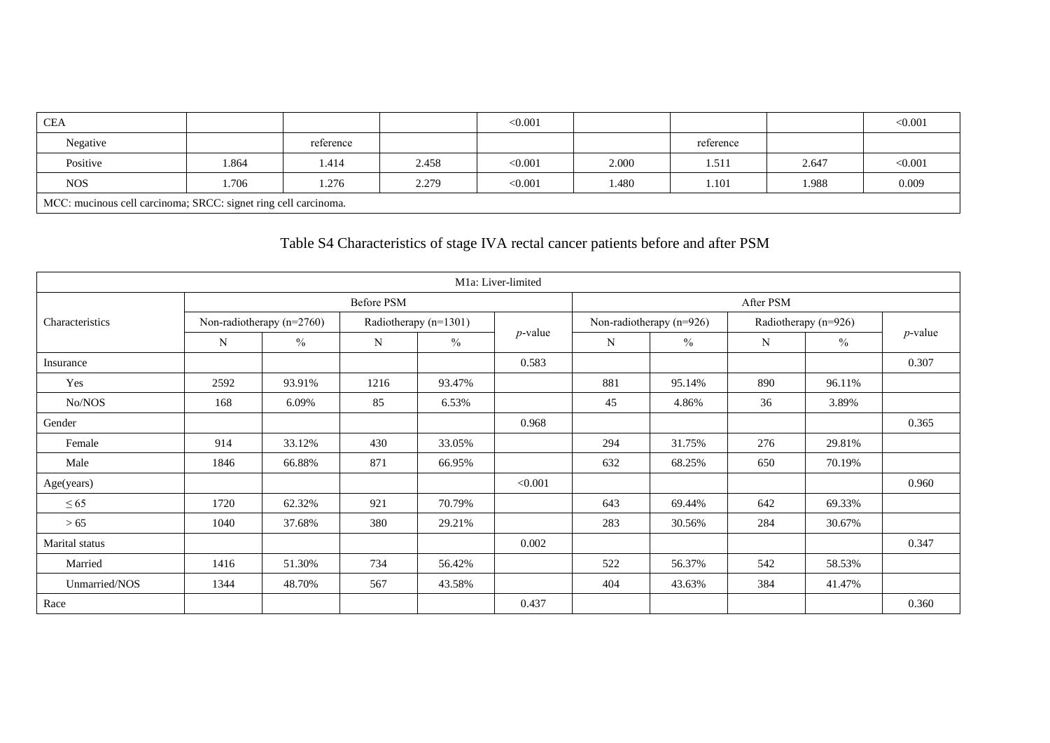| CEA                                                             |       |           |       | < 0.001 |       |           |       | < 0.001 |  |
|-----------------------------------------------------------------|-------|-----------|-------|---------|-------|-----------|-------|---------|--|
| Negative                                                        |       | reference |       |         |       | reference |       |         |  |
| Positive                                                        | 1.864 | 1.414     | 2.458 | < 0.001 | 2.000 | 1.511     | 2.647 | < 0.001 |  |
| <b>NOS</b>                                                      | .706  | 1.276     | 2.279 | < 0.001 | 480.، | 1.101     | 1.988 | 0.009   |  |
| MCC: mucinous cell carcinoma; SRCC: signet ring cell carcinoma. |       |           |       |         |       |           |       |         |  |

### Table S4 Characteristics of stage IVA rectal cancer patients before and after PSM

|                 |      |                             |                       |        | M1a: Liver-limited |           |                          |                      |        |            |  |
|-----------------|------|-----------------------------|-----------------------|--------|--------------------|-----------|--------------------------|----------------------|--------|------------|--|
|                 |      |                             | <b>Before PSM</b>     |        |                    | After PSM |                          |                      |        |            |  |
| Characteristics |      | Non-radiotherapy $(n=2760)$ | Radiotherapy (n=1301) |        |                    |           | Non-radiotherapy (n=926) | Radiotherapy (n=926) |        |            |  |
|                 | N    | $\frac{0}{0}$               | N                     | $\%$   | $p$ -value         | N         | $\frac{0}{0}$            | N                    | $\%$   | $p$ -value |  |
| Insurance       |      |                             |                       |        | 0.583              |           |                          |                      |        | 0.307      |  |
| Yes             | 2592 | 93.91%                      | 1216                  | 93.47% |                    | 881       | 95.14%                   | 890                  | 96.11% |            |  |
| No/NOS          | 168  | 6.09%                       | 85                    | 6.53%  |                    | 45        | 4.86%                    | 36                   | 3.89%  |            |  |
| Gender          |      |                             |                       |        | 0.968              |           |                          |                      |        | 0.365      |  |
| Female          | 914  | 33.12%                      | 430                   | 33.05% |                    | 294       | 31.75%                   | 276                  | 29.81% |            |  |
| Male            | 1846 | 66.88%                      | 871                   | 66.95% |                    | 632       | 68.25%                   | 650                  | 70.19% |            |  |
| Age(years)      |      |                             |                       |        | < 0.001            |           |                          |                      |        | 0.960      |  |
| $\leq 65$       | 1720 | 62.32%                      | 921                   | 70.79% |                    | 643       | 69.44%                   | 642                  | 69.33% |            |  |
| > 65            | 1040 | 37.68%                      | 380                   | 29.21% |                    | 283       | 30.56%                   | 284                  | 30.67% |            |  |
| Marital status  |      |                             |                       |        | 0.002              |           |                          |                      |        | 0.347      |  |
| Married         | 1416 | 51.30%                      | 734                   | 56.42% |                    | 522       | 56.37%                   | 542                  | 58.53% |            |  |
| Unmarried/NOS   | 1344 | 48.70%                      | 567                   | 43.58% |                    | 404       | 43.63%                   | 384                  | 41.47% |            |  |
| Race            |      |                             |                       |        | 0.437              |           |                          |                      |        | 0.360      |  |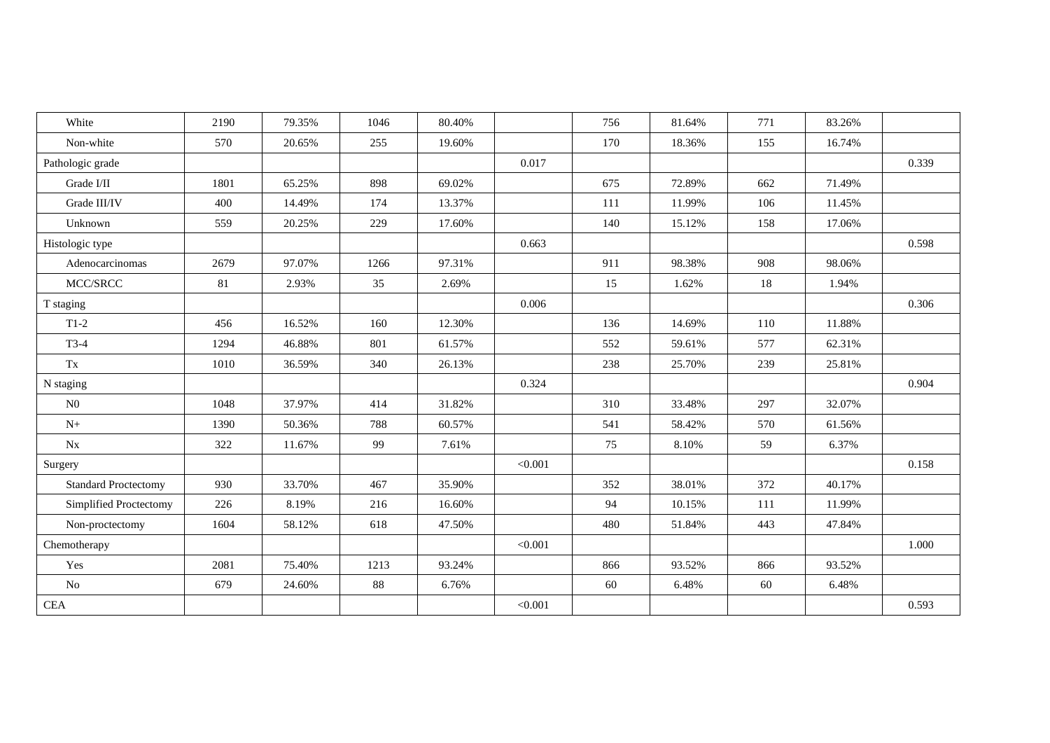| White                       | 2190   | 79.35% | 1046 | 80.40% |         | 756 | 81.64% | 771 | 83.26% |       |
|-----------------------------|--------|--------|------|--------|---------|-----|--------|-----|--------|-------|
| Non-white                   | 570    | 20.65% | 255  | 19.60% |         | 170 | 18.36% | 155 | 16.74% |       |
| Pathologic grade            |        |        |      |        | 0.017   |     |        |     |        | 0.339 |
| Grade I/II                  | 1801   | 65.25% | 898  | 69.02% |         | 675 | 72.89% | 662 | 71.49% |       |
| Grade III/IV                | 400    | 14.49% | 174  | 13.37% |         | 111 | 11.99% | 106 | 11.45% |       |
| Unknown                     | 559    | 20.25% | 229  | 17.60% |         | 140 | 15.12% | 158 | 17.06% |       |
| Histologic type             |        |        |      |        | 0.663   |     |        |     |        | 0.598 |
| Adenocarcinomas             | 2679   | 97.07% | 1266 | 97.31% |         | 911 | 98.38% | 908 | 98.06% |       |
| MCC/SRCC                    | $81\,$ | 2.93%  | 35   | 2.69%  |         | 15  | 1.62%  | 18  | 1.94%  |       |
| T staging                   |        |        |      |        | 0.006   |     |        |     |        | 0.306 |
| $T1-2$                      | 456    | 16.52% | 160  | 12.30% |         | 136 | 14.69% | 110 | 11.88% |       |
| $T3-4$                      | 1294   | 46.88% | 801  | 61.57% |         | 552 | 59.61% | 577 | 62.31% |       |
| Tx                          | 1010   | 36.59% | 340  | 26.13% |         | 238 | 25.70% | 239 | 25.81% |       |
| N staging                   |        |        |      |        | 0.324   |     |        |     |        | 0.904 |
| N <sub>0</sub>              | 1048   | 37.97% | 414  | 31.82% |         | 310 | 33.48% | 297 | 32.07% |       |
| $N+$                        | 1390   | 50.36% | 788  | 60.57% |         | 541 | 58.42% | 570 | 61.56% |       |
| $N_{X}$                     | 322    | 11.67% | 99   | 7.61%  |         | 75  | 8.10%  | 59  | 6.37%  |       |
| Surgery                     |        |        |      |        | < 0.001 |     |        |     |        | 0.158 |
| <b>Standard Proctectomy</b> | 930    | 33.70% | 467  | 35.90% |         | 352 | 38.01% | 372 | 40.17% |       |
| Simplified Proctectomy      | 226    | 8.19%  | 216  | 16.60% |         | 94  | 10.15% | 111 | 11.99% |       |
| Non-proctectomy             | 1604   | 58.12% | 618  | 47.50% |         | 480 | 51.84% | 443 | 47.84% |       |
| Chemotherapy                |        |        |      |        | < 0.001 |     |        |     |        | 1.000 |
| Yes                         | 2081   | 75.40% | 1213 | 93.24% |         | 866 | 93.52% | 866 | 93.52% |       |
| $\rm No$                    | 679    | 24.60% | 88   | 6.76%  |         | 60  | 6.48%  | 60  | 6.48%  |       |
| CEA                         |        |        |      |        | < 0.001 |     |        |     |        | 0.593 |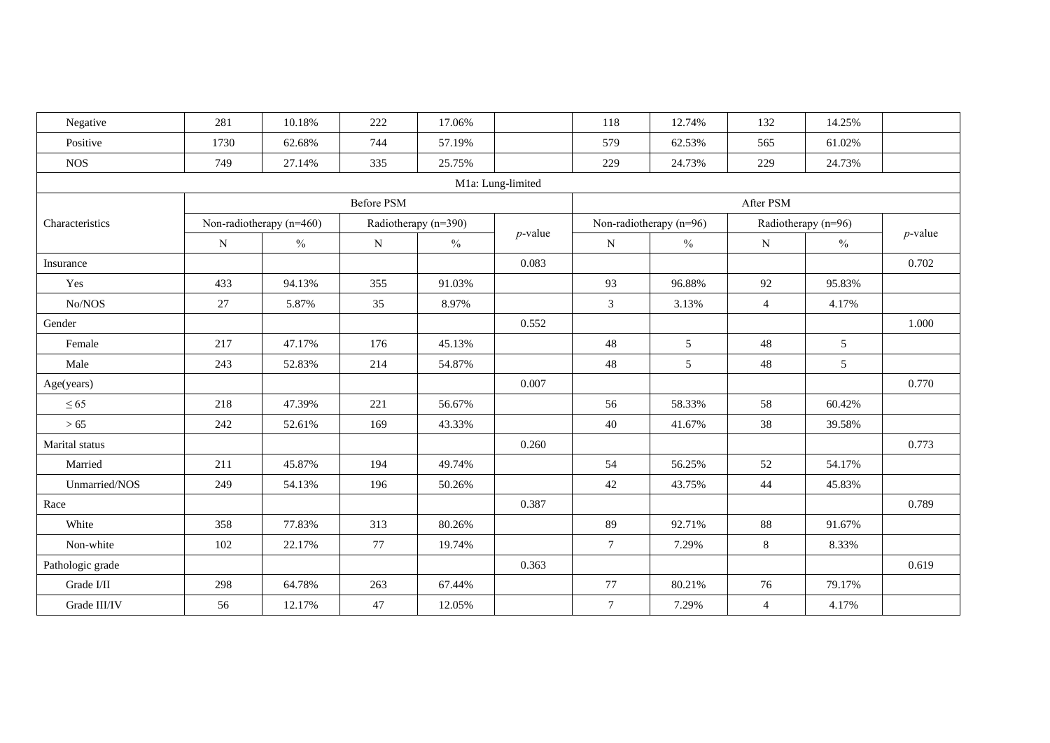| Negative         | 281       | 10.18%                     | 222                  | 17.06%        |                   | 118            | 12.74%                    | 132            | 14.25%              |            |
|------------------|-----------|----------------------------|----------------------|---------------|-------------------|----------------|---------------------------|----------------|---------------------|------------|
| Positive         | 1730      | 62.68%                     | 744                  | 57.19%        |                   | 579            | 62.53%                    | 565            | 61.02%              |            |
| <b>NOS</b>       | 749       | 27.14%                     | 335                  | 25.75%        |                   | 229            | 24.73%                    | 229            | 24.73%              |            |
|                  |           |                            |                      |               | M1a: Lung-limited |                |                           |                |                     |            |
|                  |           |                            | <b>Before PSM</b>    |               |                   |                |                           | After PSM      |                     |            |
| Characteristics  |           | Non-radiotherapy $(n=460)$ | Radiotherapy (n=390) |               |                   |                | Non-radiotherapy $(n=96)$ |                | Radiotherapy (n=96) |            |
|                  | ${\bf N}$ | $\frac{0}{0}$              | ${\bf N}$            | $\frac{0}{0}$ | $p$ -value        | ${\bf N}$      | $\frac{0}{0}$             | $\mathbf N$    | $\frac{0}{0}$       | $p$ -value |
| Insurance        |           |                            |                      |               | 0.083             |                |                           |                |                     | 0.702      |
| Yes              | 433       | 94.13%                     | 355                  | 91.03%        |                   | 93             | 96.88%                    | 92             | 95.83%              |            |
| No/NOS           | 27        | 5.87%                      | 35                   | 8.97%         |                   | $\mathfrak{Z}$ | 3.13%                     | $\overline{4}$ | 4.17%               |            |
| Gender           |           |                            |                      |               | 0.552             |                |                           |                |                     | 1.000      |
| Female           | 217       | 47.17%                     | 176                  | 45.13%        |                   | 48             | 5 <sup>5</sup>            | 48             | 5                   |            |
| Male             | 243       | 52.83%                     | 214                  | 54.87%        |                   | 48             | 5                         | 48             | 5                   |            |
| Age(years)       |           |                            |                      |               | 0.007             |                |                           |                |                     | 0.770      |
| $\leq 65$        | 218       | 47.39%                     | 221                  | 56.67%        |                   | 56             | 58.33%                    | 58             | 60.42%              |            |
| >65              | 242       | 52.61%                     | 169                  | 43.33%        |                   | 40             | 41.67%                    | 38             | 39.58%              |            |
| Marital status   |           |                            |                      |               | 0.260             |                |                           |                |                     | 0.773      |
| Married          | 211       | 45.87%                     | 194                  | 49.74%        |                   | 54             | 56.25%                    | 52             | 54.17%              |            |
| Unmarried/NOS    | 249       | 54.13%                     | 196                  | 50.26%        |                   | 42             | 43.75%                    | 44             | 45.83%              |            |
| Race             |           |                            |                      |               | 0.387             |                |                           |                |                     | 0.789      |
| White            | 358       | 77.83%                     | 313                  | 80.26%        |                   | 89             | 92.71%                    | 88             | 91.67%              |            |
| Non-white        | 102       | 22.17%                     | 77                   | 19.74%        |                   | $\tau$         | 7.29%                     | 8              | 8.33%               |            |
| Pathologic grade |           |                            |                      |               | 0.363             |                |                           |                |                     | 0.619      |
| Grade I/II       | 298       | 64.78%                     | 263                  | 67.44%        |                   | 77             | 80.21%                    | 76             | 79.17%              |            |
| Grade III/IV     | 56        | 12.17%                     | 47                   | 12.05%        |                   | $\tau$         | 7.29%                     | $\overline{4}$ | 4.17%               |            |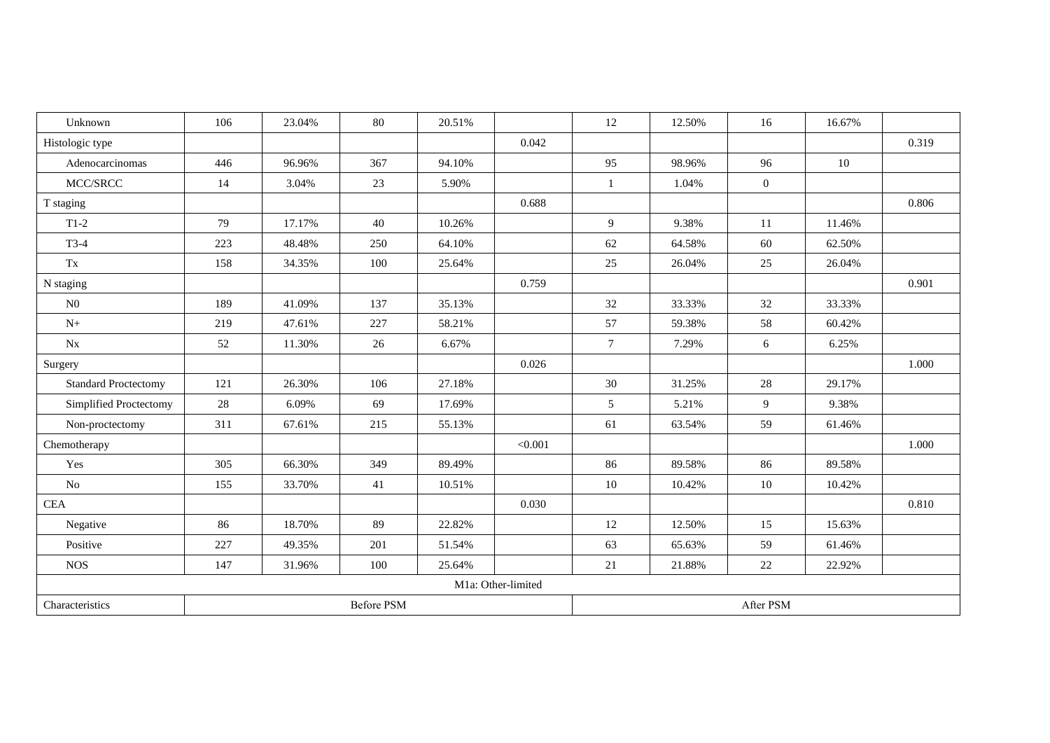| Unknown                     | 106 | 23.04% | 80                | 20.51% |                    | 12     | 12.50% | 16             | 16.67% |       |
|-----------------------------|-----|--------|-------------------|--------|--------------------|--------|--------|----------------|--------|-------|
| Histologic type             |     |        |                   |        | 0.042              |        |        |                |        | 0.319 |
| Adenocarcinomas             | 446 | 96.96% | 367               | 94.10% |                    | 95     | 98.96% | 96             | 10     |       |
| MCC/SRCC                    | 14  | 3.04%  | 23                | 5.90%  |                    | 1      | 1.04%  | $\overline{0}$ |        |       |
| T staging                   |     |        |                   |        | 0.688              |        |        |                |        | 0.806 |
| $T1-2$                      | 79  | 17.17% | 40                | 10.26% |                    | 9      | 9.38%  | 11             | 11.46% |       |
| $T3-4$                      | 223 | 48.48% | 250               | 64.10% |                    | 62     | 64.58% | 60             | 62.50% |       |
| Tx                          | 158 | 34.35% | 100               | 25.64% |                    | 25     | 26.04% | 25             | 26.04% |       |
| N staging                   |     |        |                   |        | 0.759              |        |        |                |        | 0.901 |
| N <sub>0</sub>              | 189 | 41.09% | 137               | 35.13% |                    | 32     | 33.33% | 32             | 33.33% |       |
| ${\rm N+}$                  | 219 | 47.61% | 227               | 58.21% |                    | 57     | 59.38% | 58             | 60.42% |       |
| $\rm{Nx}$                   | 52  | 11.30% | 26                | 6.67%  |                    | $\tau$ | 7.29%  | 6              | 6.25%  |       |
| Surgery                     |     |        |                   |        | 0.026              |        |        |                |        | 1.000 |
| <b>Standard Proctectomy</b> | 121 | 26.30% | 106               | 27.18% |                    | 30     | 31.25% | $28\,$         | 29.17% |       |
| Simplified Proctectomy      | 28  | 6.09%  | 69                | 17.69% |                    | 5      | 5.21%  | 9              | 9.38%  |       |
| Non-proctectomy             | 311 | 67.61% | 215               | 55.13% |                    | 61     | 63.54% | 59             | 61.46% |       |
| Chemotherapy                |     |        |                   |        | < 0.001            |        |        |                |        | 1.000 |
| Yes                         | 305 | 66.30% | 349               | 89.49% |                    | 86     | 89.58% | 86             | 89.58% |       |
| $\rm No$                    | 155 | 33.70% | 41                | 10.51% |                    | $10\,$ | 10.42% | 10             | 10.42% |       |
| CEA                         |     |        |                   |        | 0.030              |        |        |                |        | 0.810 |
| Negative                    | 86  | 18.70% | 89                | 22.82% |                    | 12     | 12.50% | 15             | 15.63% |       |
| Positive                    | 227 | 49.35% | 201               | 51.54% |                    | 63     | 65.63% | 59             | 61.46% |       |
| <b>NOS</b>                  | 147 | 31.96% | 100               | 25.64% |                    | 21     | 21.88% | 22             | 22.92% |       |
|                             |     |        |                   |        | M1a: Other-limited |        |        |                |        |       |
| Characteristics             |     |        | <b>Before PSM</b> |        |                    |        |        | After PSM      |        |       |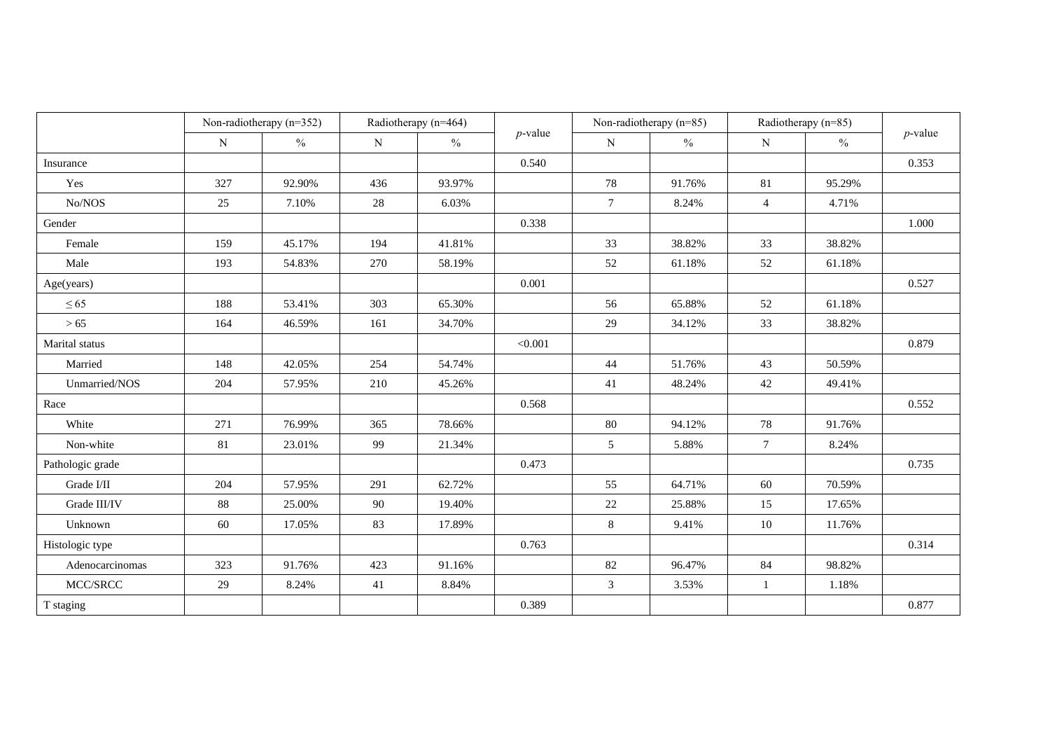|                  | Non-radiotherapy (n=352) |        |             | Radiotherapy (n=464) |            | Non-radiotherapy (n=85) |               | Radiotherapy (n=85) |               | $p$ -value |
|------------------|--------------------------|--------|-------------|----------------------|------------|-------------------------|---------------|---------------------|---------------|------------|
|                  | ${\bf N}$                | $\%$   | $\mathbf N$ | $\frac{0}{0}$        | $p$ -value | $\mathbf N$             | $\frac{0}{0}$ | $\mathbf N$         | $\frac{0}{0}$ |            |
| Insurance        |                          |        |             |                      | 0.540      |                         |               |                     |               | 0.353      |
| Yes              | 327                      | 92.90% | 436         | 93.97%               |            | 78                      | 91.76%        | 81                  | 95.29%        |            |
| No/NOS           | 25                       | 7.10%  | 28          | 6.03%                |            | $\tau$                  | 8.24%         | $\overline{4}$      | 4.71%         |            |
| Gender           |                          |        |             |                      | 0.338      |                         |               |                     |               | 1.000      |
| Female           | 159                      | 45.17% | 194         | 41.81%               |            | 33                      | 38.82%        | 33                  | 38.82%        |            |
| Male             | 193                      | 54.83% | 270         | 58.19%               |            | 52                      | 61.18%        | 52                  | 61.18%        |            |
| Age(years)       |                          |        |             |                      | 0.001      |                         |               |                     |               | 0.527      |
| $\leq 65$        | 188                      | 53.41% | 303         | 65.30%               |            | 56                      | 65.88%        | 52                  | 61.18%        |            |
| >65              | 164                      | 46.59% | 161         | 34.70%               |            | 29                      | 34.12%        | 33                  | 38.82%        |            |
| Marital status   |                          |        |             |                      | < 0.001    |                         |               |                     |               | 0.879      |
| Married          | 148                      | 42.05% | 254         | 54.74%               |            | 44                      | 51.76%        | 43                  | 50.59%        |            |
| Unmarried/NOS    | 204                      | 57.95% | 210         | 45.26%               |            | 41                      | 48.24%        | 42                  | 49.41%        |            |
| Race             |                          |        |             |                      | 0.568      |                         |               |                     |               | 0.552      |
| White            | 271                      | 76.99% | 365         | 78.66%               |            | 80                      | 94.12%        | 78                  | 91.76%        |            |
| Non-white        | 81                       | 23.01% | 99          | 21.34%               |            | 5                       | 5.88%         | $7\overline{ }$     | 8.24%         |            |
| Pathologic grade |                          |        |             |                      | 0.473      |                         |               |                     |               | 0.735      |
| Grade I/II       | 204                      | 57.95% | 291         | 62.72%               |            | 55                      | 64.71%        | 60                  | 70.59%        |            |
| Grade III/IV     | $88\,$                   | 25.00% | 90          | 19.40%               |            | $22\,$                  | 25.88%        | 15                  | 17.65%        |            |
| Unknown          | 60                       | 17.05% | 83          | 17.89%               |            | $\,8\,$                 | 9.41%         | 10                  | 11.76%        |            |
| Histologic type  |                          |        |             |                      | 0.763      |                         |               |                     |               | 0.314      |
| Adenocarcinomas  | 323                      | 91.76% | 423         | 91.16%               |            | 82                      | 96.47%        | 84                  | 98.82%        |            |
| MCC/SRCC         | 29                       | 8.24%  | 41          | 8.84%                |            | 3                       | 3.53%         | $\mathbf{1}$        | 1.18%         |            |
| T staging        |                          |        |             |                      | 0.389      |                         |               |                     |               | 0.877      |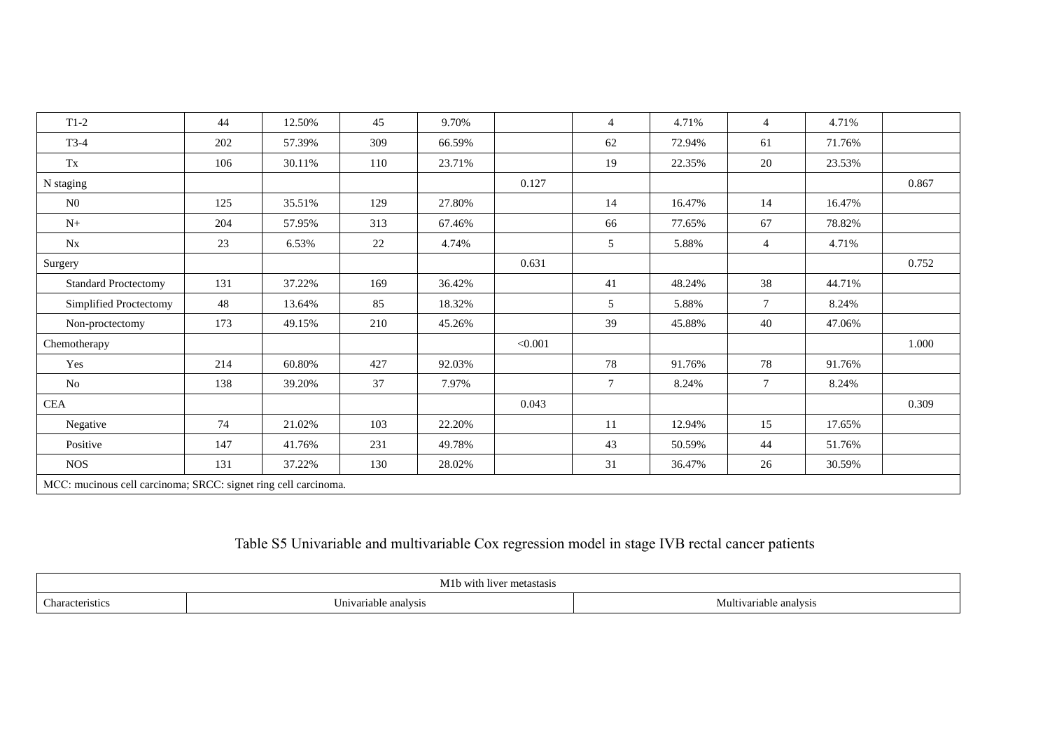| $T1-2$                                                          | 44  | 12.50% | 45  | 9.70%  |         | $\overline{4}$ | 4.71%  | $\overline{4}$ | 4.71%  |       |
|-----------------------------------------------------------------|-----|--------|-----|--------|---------|----------------|--------|----------------|--------|-------|
| $T3-4$                                                          | 202 | 57.39% | 309 | 66.59% |         | 62             | 72.94% | 61             | 71.76% |       |
| $\mathbf{T}\mathbf{x}$                                          | 106 | 30.11% | 110 | 23.71% |         | 19             | 22.35% | 20             | 23.53% |       |
| N staging                                                       |     |        |     |        | 0.127   |                |        |                |        | 0.867 |
| N <sub>0</sub>                                                  | 125 | 35.51% | 129 | 27.80% |         | 14             | 16.47% | 14             | 16.47% |       |
| $N+$                                                            | 204 | 57.95% | 313 | 67.46% |         | 66             | 77.65% | 67             | 78.82% |       |
| Nx                                                              | 23  | 6.53%  | 22  | 4.74%  |         | 5              | 5.88%  | $\overline{4}$ | 4.71%  |       |
| Surgery                                                         |     |        |     |        | 0.631   |                |        |                |        | 0.752 |
| <b>Standard Proctectomy</b>                                     | 131 | 37.22% | 169 | 36.42% |         | 41             | 48.24% | 38             | 44.71% |       |
| Simplified Proctectomy                                          | 48  | 13.64% | 85  | 18.32% |         | 5              | 5.88%  | $\tau$         | 8.24%  |       |
| Non-proctectomy                                                 | 173 | 49.15% | 210 | 45.26% |         | 39             | 45.88% | 40             | 47.06% |       |
| Chemotherapy                                                    |     |        |     |        | < 0.001 |                |        |                |        | 1.000 |
| Yes                                                             | 214 | 60.80% | 427 | 92.03% |         | 78             | 91.76% | 78             | 91.76% |       |
| No                                                              | 138 | 39.20% | 37  | 7.97%  |         | $\overline{7}$ | 8.24%  | $\tau$         | 8.24%  |       |
| <b>CEA</b>                                                      |     |        |     |        | 0.043   |                |        |                |        | 0.309 |
| Negative                                                        | 74  | 21.02% | 103 | 22.20% |         | 11             | 12.94% | 15             | 17.65% |       |
| Positive                                                        | 147 | 41.76% | 231 | 49.78% |         | 43             | 50.59% | 44             | 51.76% |       |
| <b>NOS</b>                                                      | 131 | 37.22% | 130 | 28.02% |         | 31             | 36.47% | 26             | 30.59% |       |
| MCC: mucinous cell carcinoma; SRCC: signet ring cell carcinoma. |     |        |     |        |         |                |        |                |        |       |

### Table S5 Univariable and multivariable Cox regression model in stage IVB rectal cancer patients

| 2.7.4<br>M1b wit<br>Hiver metastasis |                            |                            |  |  |  |  |  |
|--------------------------------------|----------------------------|----------------------------|--|--|--|--|--|
| $\sim$<br>acteristics                | --<br>Inivariable analysis | Multivariable<br>`analvsı. |  |  |  |  |  |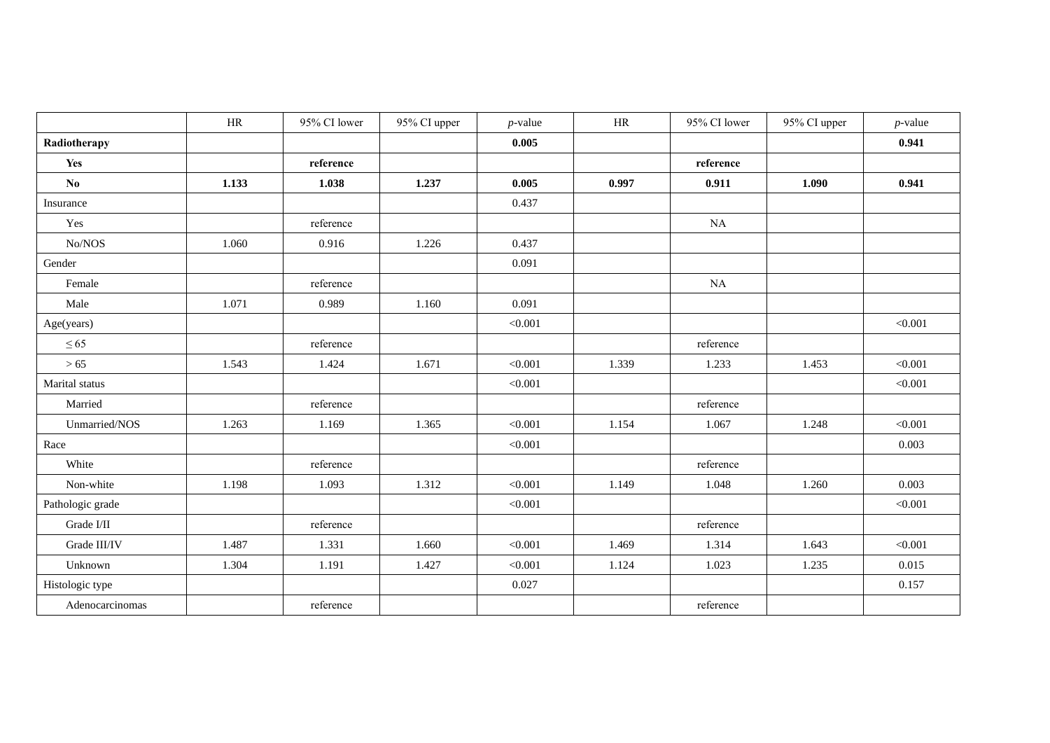|                        | HR    | 95% CI lower | 95% CI upper | $p$ -value | $\rm{HR}$ | 95% CI lower | 95% CI upper | $p$ -value |
|------------------------|-------|--------------|--------------|------------|-----------|--------------|--------------|------------|
| Radiotherapy           |       |              |              | 0.005      |           |              |              | 0.941      |
| Yes                    |       | reference    |              |            |           | reference    |              |            |
| $\mathbf{N}\mathbf{0}$ | 1.133 | 1.038        | 1.237        | 0.005      | 0.997     | 0.911        | 1.090        | 0.941      |
| Insurance              |       |              |              | 0.437      |           |              |              |            |
| Yes                    |       | reference    |              |            |           | NA           |              |            |
| No/NOS                 | 1.060 | 0.916        | 1.226        | 0.437      |           |              |              |            |
| Gender                 |       |              |              | 0.091      |           |              |              |            |
| Female                 |       | reference    |              |            |           | NA           |              |            |
| Male                   | 1.071 | 0.989        | 1.160        | 0.091      |           |              |              |            |
| Age(years)             |       |              |              | < 0.001    |           |              |              | < 0.001    |
| $\leq 65$              |       | reference    |              |            |           | reference    |              |            |
| >65                    | 1.543 | 1.424        | 1.671        | < 0.001    | 1.339     | 1.233        | 1.453        | < 0.001    |
| Marital status         |       |              |              | < 0.001    |           |              |              | < 0.001    |
| Married                |       | reference    |              |            |           | reference    |              |            |
| Unmarried/NOS          | 1.263 | 1.169        | 1.365        | < 0.001    | 1.154     | 1.067        | 1.248        | < 0.001    |
| Race                   |       |              |              | < 0.001    |           |              |              | 0.003      |
| White                  |       | reference    |              |            |           | reference    |              |            |
| Non-white              | 1.198 | 1.093        | 1.312        | < 0.001    | 1.149     | 1.048        | 1.260        | 0.003      |
| Pathologic grade       |       |              |              | < 0.001    |           |              |              | < 0.001    |
| Grade I/II             |       | reference    |              |            |           | reference    |              |            |
| Grade III/IV           | 1.487 | 1.331        | 1.660        | < 0.001    | 1.469     | 1.314        | 1.643        | < 0.001    |
| Unknown                | 1.304 | 1.191        | 1.427        | < 0.001    | 1.124     | 1.023        | 1.235        | 0.015      |
| Histologic type        |       |              |              | 0.027      |           |              |              | 0.157      |
| Adenocarcinomas        |       | reference    |              |            |           | reference    |              |            |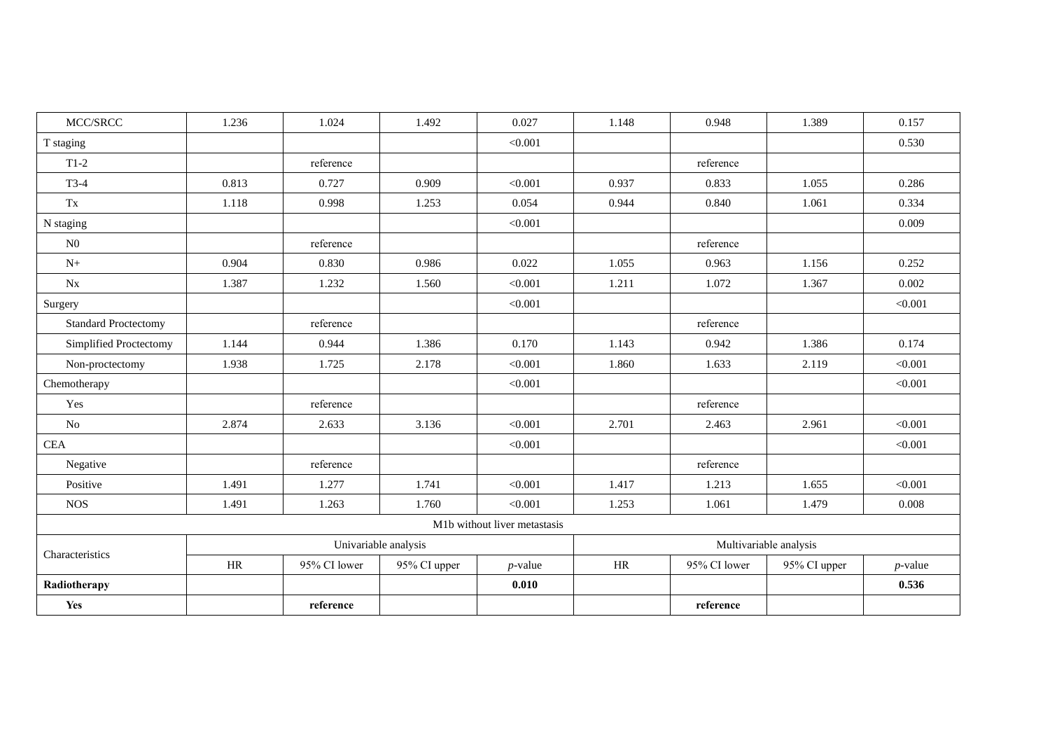| MCC/SRCC                    | 1.236 | 1.024        | 1.492                | 0.027                        | 1.148 | 0.948                  | 1.389        | 0.157      |  |  |
|-----------------------------|-------|--------------|----------------------|------------------------------|-------|------------------------|--------------|------------|--|--|
| T staging                   |       |              |                      | < 0.001                      |       |                        |              | 0.530      |  |  |
| $T1-2$                      |       | reference    |                      |                              |       | reference              |              |            |  |  |
| $T3-4$                      | 0.813 | 0.727        | 0.909                | < 0.001                      | 0.937 | 0.833                  | 1.055        | 0.286      |  |  |
| Tx                          | 1.118 | 0.998        | 1.253                | 0.054                        | 0.944 | 0.840                  | 1.061        | 0.334      |  |  |
| N staging                   |       |              |                      | < 0.001                      |       |                        |              | 0.009      |  |  |
| N <sub>0</sub>              |       | reference    |                      |                              |       | reference              |              |            |  |  |
| $N+$                        | 0.904 | 0.830        | 0.986                | 0.022                        | 1.055 | 0.963                  | 1.156        | 0.252      |  |  |
| $N_{X}$                     | 1.387 | 1.232        | 1.560                | < 0.001                      | 1.211 | 1.072                  | 1.367        | 0.002      |  |  |
| Surgery                     |       |              |                      | < 0.001                      |       |                        |              | < 0.001    |  |  |
| <b>Standard Proctectomy</b> |       | reference    |                      |                              |       | reference              |              |            |  |  |
| Simplified Proctectomy      | 1.144 | 0.944        | 1.386                | 0.170                        | 1.143 | 0.942                  | 1.386        | 0.174      |  |  |
| Non-proctectomy             | 1.938 | 1.725        | 2.178                | < 0.001                      | 1.860 | 1.633                  | 2.119        | < 0.001    |  |  |
| Chemotherapy                |       |              |                      | < 0.001                      |       |                        |              | < 0.001    |  |  |
| Yes                         |       | reference    |                      |                              |       | reference              |              |            |  |  |
| No                          | 2.874 | 2.633        | 3.136                | < 0.001                      | 2.701 | 2.463                  | 2.961        | < 0.001    |  |  |
| CEA                         |       |              |                      | < 0.001                      |       |                        |              | < 0.001    |  |  |
| Negative                    |       | reference    |                      |                              |       | reference              |              |            |  |  |
| Positive                    | 1.491 | 1.277        | 1.741                | < 0.001                      | 1.417 | 1.213                  | 1.655        | < 0.001    |  |  |
| <b>NOS</b>                  | 1.491 | 1.263        | 1.760                | < 0.001                      | 1.253 | 1.061                  | 1.479        | 0.008      |  |  |
|                             |       |              |                      | M1b without liver metastasis |       |                        |              |            |  |  |
|                             |       |              | Univariable analysis |                              |       | Multivariable analysis |              |            |  |  |
| Characteristics             | HR    | 95% CI lower | 95% CI upper         | $p$ -value                   | HR    | 95% CI lower           | 95% CI upper | $p$ -value |  |  |
| Radiotherapy                |       |              |                      | 0.010                        |       |                        |              | 0.536      |  |  |
| Yes                         |       | reference    |                      |                              |       | reference              |              |            |  |  |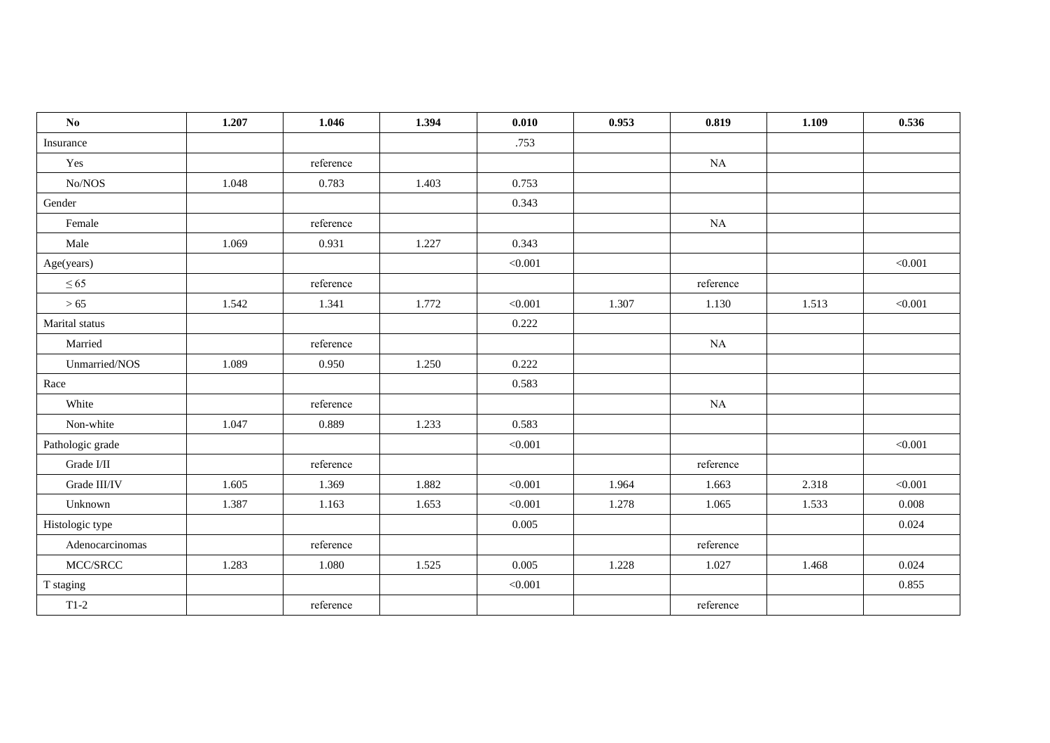| $\mathbf{N}\mathbf{o}$                     | 1.207 | 1.046     | 1.394 | 0.010   | 0.953 | 0.819     | 1.109 | 0.536   |
|--------------------------------------------|-------|-----------|-------|---------|-------|-----------|-------|---------|
| Insurance                                  |       |           |       | .753    |       |           |       |         |
| Yes                                        |       | reference |       |         |       | NA        |       |         |
| No/NOS                                     | 1.048 | 0.783     | 1.403 | 0.753   |       |           |       |         |
| Gender                                     |       |           |       | 0.343   |       |           |       |         |
| Female                                     |       | reference |       |         |       | NA        |       |         |
| Male                                       | 1.069 | 0.931     | 1.227 | 0.343   |       |           |       |         |
| Age(years)                                 |       |           |       | < 0.001 |       |           |       | < 0.001 |
| $\leq 65$                                  |       | reference |       |         |       | reference |       |         |
| >65                                        | 1.542 | 1.341     | 1.772 | < 0.001 | 1.307 | 1.130     | 1.513 | < 0.001 |
| Marital status                             |       |           |       | 0.222   |       |           |       |         |
| Married                                    |       | reference |       |         |       | NA        |       |         |
| Unmarried/NOS                              | 1.089 | 0.950     | 1.250 | 0.222   |       |           |       |         |
| Race                                       |       |           |       | 0.583   |       |           |       |         |
| White                                      |       | reference |       |         |       | NA        |       |         |
| Non-white                                  | 1.047 | 0.889     | 1.233 | 0.583   |       |           |       |         |
| Pathologic grade                           |       |           |       | < 0.001 |       |           |       | < 0.001 |
| Grade I/II                                 |       | reference |       |         |       | reference |       |         |
| Grade III/IV                               | 1.605 | 1.369     | 1.882 | < 0.001 | 1.964 | 1.663     | 2.318 | < 0.001 |
| Unknown                                    | 1.387 | 1.163     | 1.653 | < 0.001 | 1.278 | 1.065     | 1.533 | 0.008   |
| Histologic type                            |       |           |       | 0.005   |       |           |       | 0.024   |
| Adenocarcinomas                            |       | reference |       |         |       | reference |       |         |
| $\operatorname{MCC}/\!\operatorname{SRCC}$ | 1.283 | 1.080     | 1.525 | 0.005   | 1.228 | 1.027     | 1.468 | 0.024   |
| T staging                                  |       |           |       | < 0.001 |       |           |       | 0.855   |
| $T1-2$                                     |       | reference |       |         |       | reference |       |         |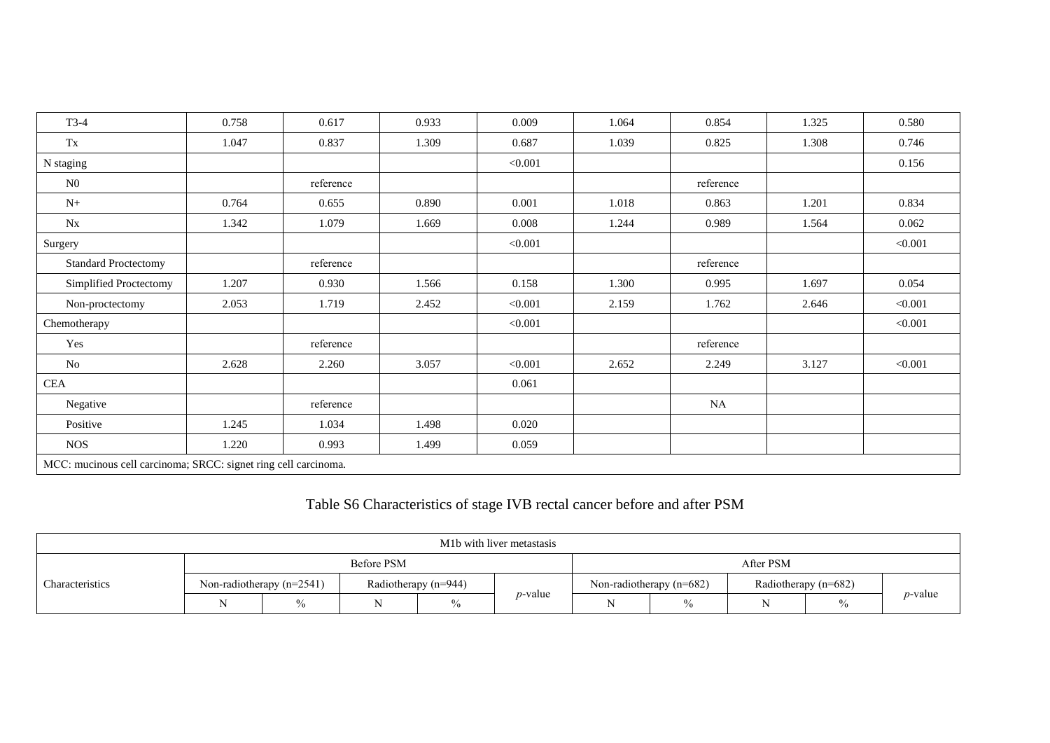| $T3-4$                                                          | 0.758 | 0.617     | 0.933 | 0.009   | 1.064 | 0.854     | 1.325 | 0.580   |
|-----------------------------------------------------------------|-------|-----------|-------|---------|-------|-----------|-------|---------|
| $\mathbf{T}\mathbf{x}$                                          | 1.047 | 0.837     | 1.309 | 0.687   | 1.039 | 0.825     | 1.308 | 0.746   |
| N staging                                                       |       |           |       | < 0.001 |       |           |       | 0.156   |
| N <sub>0</sub>                                                  |       | reference |       |         |       | reference |       |         |
| $N+$                                                            | 0.764 | 0.655     | 0.890 | 0.001   | 1.018 | 0.863     | 1.201 | 0.834   |
| $N_{X}$                                                         | 1.342 | 1.079     | 1.669 | 0.008   | 1.244 | 0.989     | 1.564 | 0.062   |
| Surgery                                                         |       |           |       | < 0.001 |       |           |       | < 0.001 |
| <b>Standard Proctectomy</b>                                     |       | reference |       |         |       | reference |       |         |
| Simplified Proctectomy                                          | 1.207 | 0.930     | 1.566 | 0.158   | 1.300 | 0.995     | 1.697 | 0.054   |
| Non-proctectomy                                                 | 2.053 | 1.719     | 2.452 | < 0.001 | 2.159 | 1.762     | 2.646 | < 0.001 |
| Chemotherapy                                                    |       |           |       | < 0.001 |       |           |       | < 0.001 |
| Yes                                                             |       | reference |       |         |       | reference |       |         |
| N <sub>o</sub>                                                  | 2.628 | 2.260     | 3.057 | < 0.001 | 2.652 | 2.249     | 3.127 | < 0.001 |
| <b>CEA</b>                                                      |       |           |       | 0.061   |       |           |       |         |
| Negative                                                        |       | reference |       |         |       | <b>NA</b> |       |         |
| Positive                                                        | 1.245 | 1.034     | 1.498 | 0.020   |       |           |       |         |
| <b>NOS</b>                                                      | 1.220 | 0.993     | 1.499 | 0.059   |       |           |       |         |
| MCC: mucinous cell carcinoma; SRCC: signet ring cell carcinoma. |       |           |       |         |       |           |       |         |

# Table S6 Characteristics of stage IVB rectal cancer before and after PSM

| M <sub>1</sub> b with liver metastasis |  |                             |                        |      |            |                            |               |                        |      |                 |
|----------------------------------------|--|-----------------------------|------------------------|------|------------|----------------------------|---------------|------------------------|------|-----------------|
| Characteristics                        |  |                             | <b>Before PSM</b>      |      |            | After PSM                  |               |                        |      |                 |
|                                        |  | Non-radiotherapy $(n=2541)$ | Radiotherapy $(n=944)$ |      |            | Non-radiotherapy $(n=682)$ |               | Radiotherapy $(n=682)$ |      |                 |
|                                        |  | $\%$                        |                        | $\%$ | $p$ -value | N                          | $\frac{0}{0}$ |                        | $\%$ | <i>p</i> -value |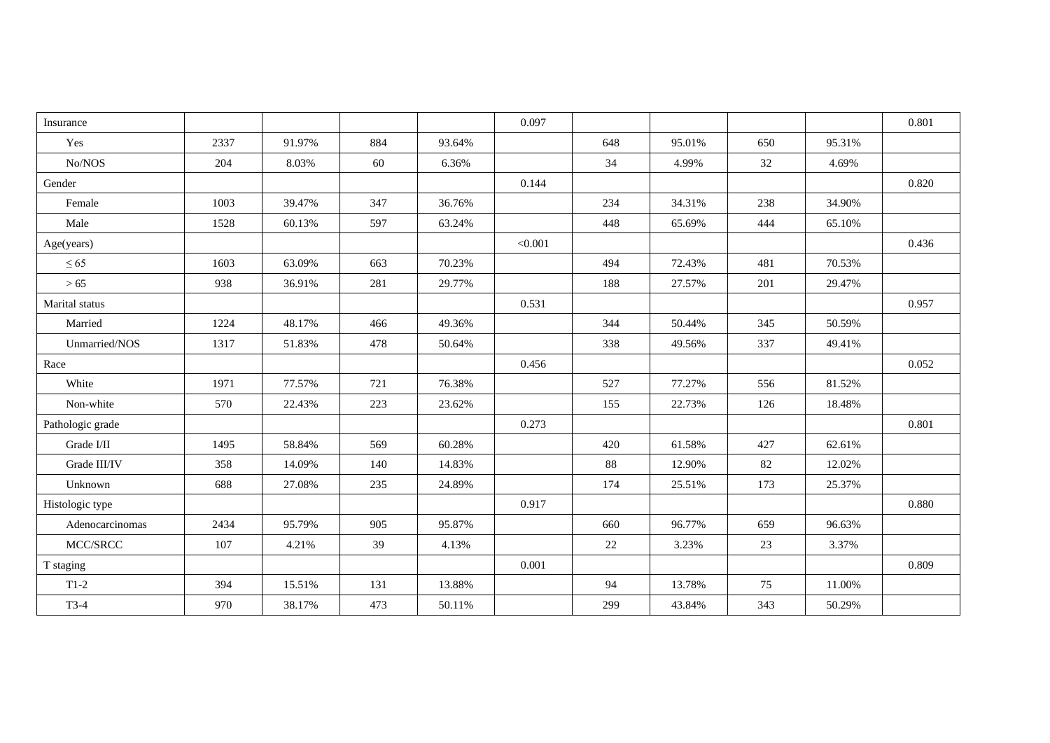| Insurance            |      |        |     |        | 0.097   |     |        |     |        | 0.801 |
|----------------------|------|--------|-----|--------|---------|-----|--------|-----|--------|-------|
| Yes                  | 2337 | 91.97% | 884 | 93.64% |         | 648 | 95.01% | 650 | 95.31% |       |
| No/NOS               | 204  | 8.03%  | 60  | 6.36%  |         | 34  | 4.99%  | 32  | 4.69%  |       |
| Gender               |      |        |     |        | 0.144   |     |        |     |        | 0.820 |
| Female               | 1003 | 39.47% | 347 | 36.76% |         | 234 | 34.31% | 238 | 34.90% |       |
| Male                 | 1528 | 60.13% | 597 | 63.24% |         | 448 | 65.69% | 444 | 65.10% |       |
| Age(years)           |      |        |     |        | < 0.001 |     |        |     |        | 0.436 |
| $\leq 65$            | 1603 | 63.09% | 663 | 70.23% |         | 494 | 72.43% | 481 | 70.53% |       |
| >65                  | 938  | 36.91% | 281 | 29.77% |         | 188 | 27.57% | 201 | 29.47% |       |
| Marital status       |      |        |     |        | 0.531   |     |        |     |        | 0.957 |
| Married              | 1224 | 48.17% | 466 | 49.36% |         | 344 | 50.44% | 345 | 50.59% |       |
| Unmarried/NOS        | 1317 | 51.83% | 478 | 50.64% |         | 338 | 49.56% | 337 | 49.41% |       |
| Race                 |      |        |     |        | 0.456   |     |        |     |        | 0.052 |
| White                | 1971 | 77.57% | 721 | 76.38% |         | 527 | 77.27% | 556 | 81.52% |       |
| Non-white            | 570  | 22.43% | 223 | 23.62% |         | 155 | 22.73% | 126 | 18.48% |       |
| Pathologic grade     |      |        |     |        | 0.273   |     |        |     |        | 0.801 |
| Grade $\it I/I\rm I$ | 1495 | 58.84% | 569 | 60.28% |         | 420 | 61.58% | 427 | 62.61% |       |
| Grade III/IV         | 358  | 14.09% | 140 | 14.83% |         | 88  | 12.90% | 82  | 12.02% |       |
| Unknown              | 688  | 27.08% | 235 | 24.89% |         | 174 | 25.51% | 173 | 25.37% |       |
| Histologic type      |      |        |     |        | 0.917   |     |        |     |        | 0.880 |
| Adenocarcinomas      | 2434 | 95.79% | 905 | 95.87% |         | 660 | 96.77% | 659 | 96.63% |       |
| MCC/SRCC             | 107  | 4.21%  | 39  | 4.13%  |         | 22  | 3.23%  | 23  | 3.37%  |       |
| T staging            |      |        |     |        | 0.001   |     |        |     |        | 0.809 |
| $T1-2$               | 394  | 15.51% | 131 | 13.88% |         | 94  | 13.78% | 75  | 11.00% |       |
| $T3-4$               | 970  | 38.17% | 473 | 50.11% |         | 299 | 43.84% | 343 | 50.29% |       |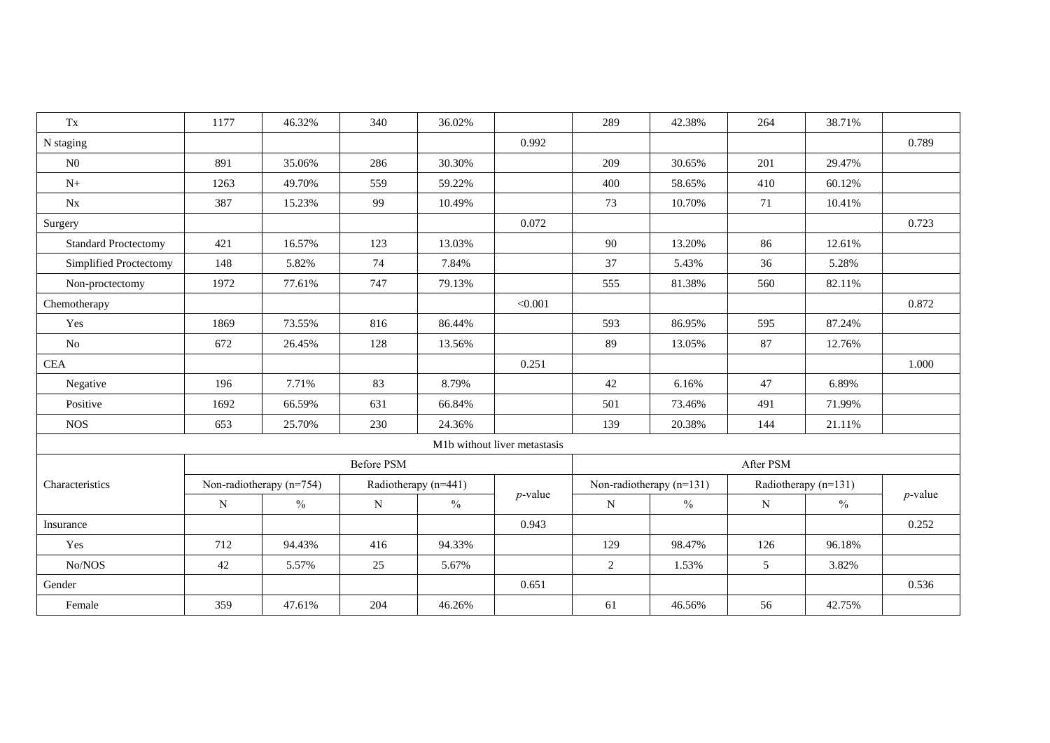| $\mathbf{T}\mathbf{x}$      | 1177                       | 46.32%        | 340         | 36.02%               |                              | 289                      | 42.38%        | 264                  | 38.71%        |            |  |
|-----------------------------|----------------------------|---------------|-------------|----------------------|------------------------------|--------------------------|---------------|----------------------|---------------|------------|--|
| N staging                   |                            |               |             |                      | 0.992                        |                          |               |                      |               | 0.789      |  |
| N <sub>0</sub>              | 891                        | 35.06%        | 286         | 30.30%               |                              | 209                      | 30.65%        | 201                  | 29.47%        |            |  |
| $N_{+}$                     | 1263                       | 49.70%        | 559         | 59.22%               |                              | 400                      | 58.65%        | 410                  | 60.12%        |            |  |
| $N_{X}$                     | 387                        | 15.23%        | 99          | 10.49%               |                              | 73                       | 10.70%        | 71                   | 10.41%        |            |  |
| Surgery                     |                            |               |             |                      | 0.072                        |                          |               |                      |               | 0.723      |  |
| <b>Standard Proctectomy</b> | 421                        | 16.57%        | 123         | 13.03%               |                              | 90                       | 13.20%        | 86                   | 12.61%        |            |  |
| Simplified Proctectomy      | 148                        | 5.82%         | 74          | 7.84%                |                              | 37                       | 5.43%         | 36                   | 5.28%         |            |  |
| Non-proctectomy             | 1972                       | 77.61%        | 747         | 79.13%               |                              | 555                      | 81.38%        | 560                  | 82.11%        |            |  |
| Chemotherapy                |                            |               |             |                      | < 0.001                      |                          |               |                      |               | 0.872      |  |
| Yes                         | 1869                       | 73.55%        | 816         | 86.44%               |                              | 593                      | 86.95%        | 595                  | 87.24%        |            |  |
| No                          | 672                        | 26.45%        | 128         | 13.56%               |                              | 89                       | 13.05%        | 87                   | 12.76%        |            |  |
| <b>CEA</b>                  |                            |               |             |                      | 0.251                        |                          |               |                      |               | 1.000      |  |
| Negative                    | 196                        | 7.71%         | 83          | 8.79%                |                              | 42                       | 6.16%         | 47                   | 6.89%         |            |  |
| Positive                    | 1692                       | 66.59%        | 631         | 66.84%               |                              | 501                      | 73.46%        | 491                  | 71.99%        |            |  |
| <b>NOS</b>                  | 653                        | 25.70%        | 230         | 24.36%               |                              | 139                      | 20.38%        | 144                  | 21.11%        |            |  |
|                             |                            |               |             |                      | M1b without liver metastasis |                          |               |                      |               |            |  |
|                             |                            |               | Before PSM  |                      |                              | After PSM                |               |                      |               |            |  |
| Characteristics             | Non-radiotherapy $(n=754)$ |               |             | Radiotherapy (n=441) |                              | Non-radiotherapy (n=131) |               | Radiotherapy (n=131) |               |            |  |
|                             | $\mathbf N$                | $\frac{0}{0}$ | $\mathbf N$ | $\%$                 | $p$ -value                   | $\mathbf N$              | $\frac{0}{0}$ | N                    | $\frac{0}{0}$ | $p$ -value |  |
| Insurance                   |                            |               |             |                      | 0.943                        |                          |               |                      |               | 0.252      |  |
| Yes                         | 712                        | 94.43%        | 416         | 94.33%               |                              | 129                      | 98.47%        | 126                  | 96.18%        |            |  |
| No/NOS                      | 42                         | 5.57%         | 25          | 5.67%                |                              | 2                        | 1.53%         | 5                    | 3.82%         |            |  |
| Gender                      |                            |               |             |                      | 0.651                        |                          |               |                      |               | 0.536      |  |
| Female                      | 359                        | 47.61%        | 204         | 46.26%               |                              | 61                       | 46.56%        | 56                   | 42.75%        |            |  |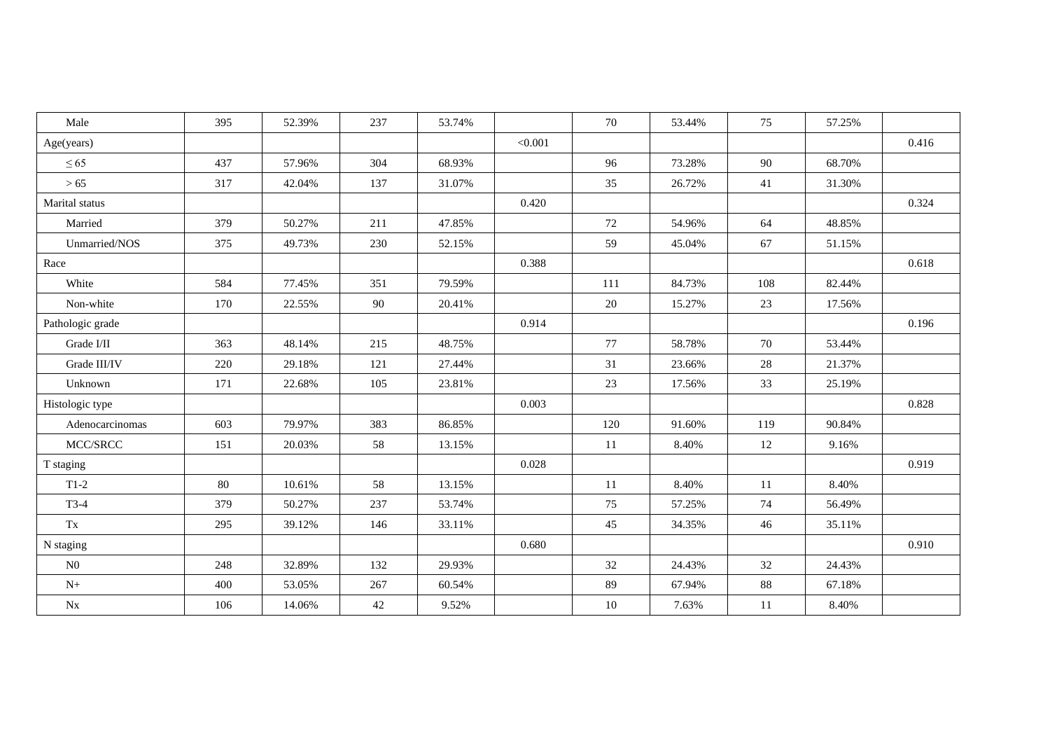| Male             | 395 | 52.39% | 237 | 53.74% |         | 70     | 53.44% | 75  | 57.25% |       |
|------------------|-----|--------|-----|--------|---------|--------|--------|-----|--------|-------|
| Age(years)       |     |        |     |        | < 0.001 |        |        |     |        | 0.416 |
| $\leq 65$        | 437 | 57.96% | 304 | 68.93% |         | 96     | 73.28% | 90  | 68.70% |       |
| >65              | 317 | 42.04% | 137 | 31.07% |         | 35     | 26.72% | 41  | 31.30% |       |
| Marital status   |     |        |     |        | 0.420   |        |        |     |        | 0.324 |
| Married          | 379 | 50.27% | 211 | 47.85% |         | 72     | 54.96% | 64  | 48.85% |       |
| Unmarried/NOS    | 375 | 49.73% | 230 | 52.15% |         | 59     | 45.04% | 67  | 51.15% |       |
| Race             |     |        |     |        | 0.388   |        |        |     |        | 0.618 |
| White            | 584 | 77.45% | 351 | 79.59% |         | 111    | 84.73% | 108 | 82.44% |       |
| Non-white        | 170 | 22.55% | 90  | 20.41% |         | 20     | 15.27% | 23  | 17.56% |       |
| Pathologic grade |     |        |     |        | 0.914   |        |        |     |        | 0.196 |
| Grade I/II       | 363 | 48.14% | 215 | 48.75% |         | 77     | 58.78% | 70  | 53.44% |       |
| Grade III/IV     | 220 | 29.18% | 121 | 27.44% |         | 31     | 23.66% | 28  | 21.37% |       |
| Unknown          | 171 | 22.68% | 105 | 23.81% |         | 23     | 17.56% | 33  | 25.19% |       |
| Histologic type  |     |        |     |        | 0.003   |        |        |     |        | 0.828 |
| Adenocarcinomas  | 603 | 79.97% | 383 | 86.85% |         | 120    | 91.60% | 119 | 90.84% |       |
| MCC/SRCC         | 151 | 20.03% | 58  | 13.15% |         | 11     | 8.40%  | 12  | 9.16%  |       |
| T staging        |     |        |     |        | 0.028   |        |        |     |        | 0.919 |
| $T1-2$           | 80  | 10.61% | 58  | 13.15% |         | 11     | 8.40%  | 11  | 8.40%  |       |
| $T3-4$           | 379 | 50.27% | 237 | 53.74% |         | 75     | 57.25% | 74  | 56.49% |       |
| Tx               | 295 | 39.12% | 146 | 33.11% |         | 45     | 34.35% | 46  | 35.11% |       |
| N staging        |     |        |     |        | 0.680   |        |        |     |        | 0.910 |
| ${\rm N0}$       | 248 | 32.89% | 132 | 29.93% |         | 32     | 24.43% | 32  | 24.43% |       |
| ${\rm N+}$       | 400 | 53.05% | 267 | 60.54% |         | 89     | 67.94% | 88  | 67.18% |       |
| $\rm{Nx}$        | 106 | 14.06% | 42  | 9.52%  |         | $10\,$ | 7.63%  | 11  | 8.40%  |       |